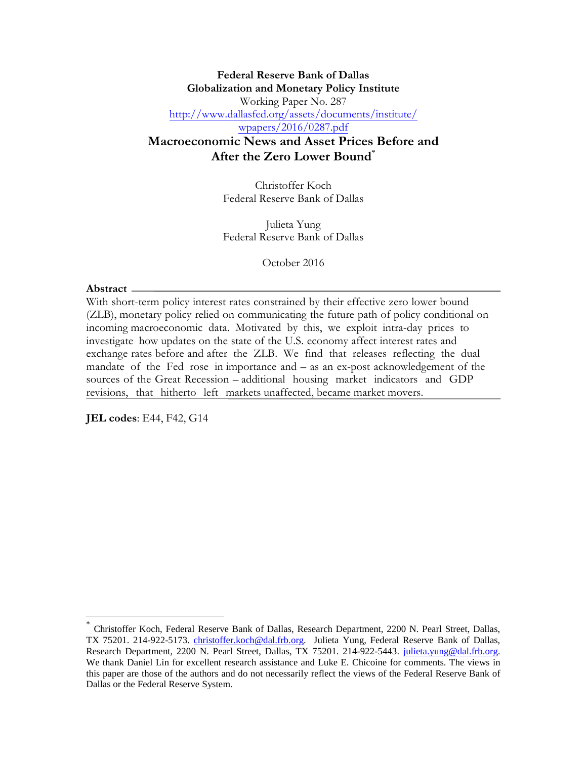#### **Federal Reserve Bank of Dallas Globalization and Monetary Policy Institute**  Working Paper No. 287 [http://www.dallasfed.org/assets/documents/institute/](http://www.dallasfed.org/assets/documents/institute/wpapers/2016.0287.pdf) wpapers/2016/0287.pdf

### **Macroeconomic News and Asset Prices Before and After the Zero Lower Bound**[\\*](#page-0-0)

Christoffer Koch Federal Reserve Bank of Dallas

Julieta Yung Federal Reserve Bank of Dallas

October 2016

#### **Abstract**

With short-term policy interest rates constrained by their effective zero lower bound (ZLB), monetary policy relied on communicating the future path of policy conditional on incoming macroeconomic data. Motivated by this, we exploit intra-day prices to investigate how updates on the state of the U.S. economy affect interest rates and exchange rates before and after the ZLB. We find that releases reflecting the dual mandate of the Fed rose in importance and – as an ex-post acknowledgement of the sources of the Great Recession – additional housing market indicators and GDP revisions, that hitherto left markets unaffected, became market movers.

**JEL codes**: E44, F42, G14

<span id="page-0-0"></span><sup>\*</sup> Christoffer Koch, Federal Reserve Bank of Dallas, Research Department, 2200 N. Pearl Street, Dallas, TX 75201. 214-922-5173. [christoffer.koch@dal.frb.org.](mailto:christoffer.koch@dal.frb.org) Julieta Yung, Federal Reserve Bank of Dallas, Research Department, 2200 N. Pearl Street, Dallas, TX 75201. 214-922-5443. [julieta.yung@dal.frb.org.](mailto:julieta.yung@dal.frb.org) We thank Daniel Lin for excellent research assistance and Luke E. Chicoine for comments. The views in this paper are those of the authors and do not necessarily reflect the views of the Federal Reserve Bank of Dallas or the Federal Reserve System.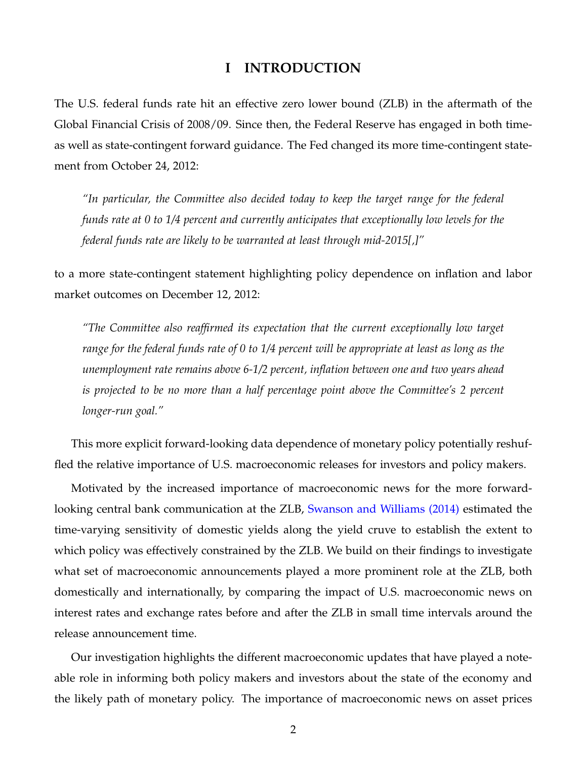### **I INTRODUCTION**

The U.S. federal funds rate hit an effective zero lower bound (ZLB) in the aftermath of the Global Financial Crisis of 2008/09. Since then, the Federal Reserve has engaged in both timeas well as state-contingent forward guidance. The Fed changed its more time-contingent statement from October 24, 2012:

*"In particular, the Committee also decided today to keep the target range for the federal funds rate at 0 to 1/4 percent and currently anticipates that exceptionally low levels for the federal funds rate are likely to be warranted at least through mid-2015[,]"*

to a more state-contingent statement highlighting policy dependence on inflation and labor market outcomes on December 12, 2012:

*"The Committee also reaffirmed its expectation that the current exceptionally low target range for the federal funds rate of 0 to 1/4 percent will be appropriate at least as long as the unemployment rate remains above 6-1/2 percent, inflation between one and two years ahead is projected to be no more than a half percentage point above the Committee's 2 percent longer-run goal."*

This more explicit forward-looking data dependence of monetary policy potentially reshuffled the relative importance of U.S. macroeconomic releases for investors and policy makers.

Motivated by the increased importance of macroeconomic news for the more forward-looking central bank communication at the ZLB, [Swanson and Williams \(2014\)](#page-7-0) estimated the time-varying sensitivity of domestic yields along the yield cruve to establish the extent to which policy was effectively constrained by the ZLB. We build on their findings to investigate what set of macroeconomic announcements played a more prominent role at the ZLB, both domestically and internationally, by comparing the impact of U.S. macroeconomic news on interest rates and exchange rates before and after the ZLB in small time intervals around the release announcement time.

Our investigation highlights the different macroeconomic updates that have played a noteable role in informing both policy makers and investors about the state of the economy and the likely path of monetary policy. The importance of macroeconomic news on asset prices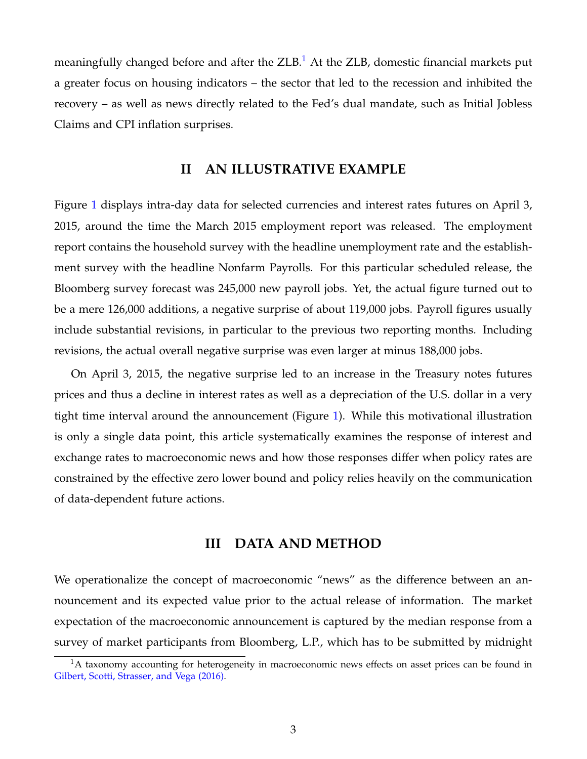meaningfully changed before and after the  $ZLB$ .<sup>1</sup> At the  $ZLB$ , domestic financial markets put a greater focus on housing indicators – the sector that led to the recession and inhibited the recovery – as well as news directly related to the Fed's dual mandate, such as Initial Jobless Claims and CPI inflation surprises.

#### **II AN ILLUSTRATIVE EXAMPLE**

Figure [1](#page-3-0) displays intra-day data for selected currencies and interest rates futures on April 3, 2015, around the time the March 2015 employment report was released. The employment report contains the household survey with the headline unemployment rate and the establishment survey with the headline Nonfarm Payrolls. For this particular scheduled release, the Bloomberg survey forecast was 245,000 new payroll jobs. Yet, the actual figure turned out to be a mere 126,000 additions, a negative surprise of about 119,000 jobs. Payroll figures usually include substantial revisions, in particular to the previous two reporting months. Including revisions, the actual overall negative surprise was even larger at minus 188,000 jobs.

On April 3, 2015, the negative surprise led to an increase in the Treasury notes futures prices and thus a decline in interest rates as well as a depreciation of the U.S. dollar in a very tight time interval around the announcement (Figure [1\)](#page-3-0). While this motivational illustration is only a single data point, this article systematically examines the response of interest and exchange rates to macroeconomic news and how those responses differ when policy rates are constrained by the effective zero lower bound and policy relies heavily on the communication of data-dependent future actions.

#### **III DATA AND METHOD**

We operationalize the concept of macroeconomic "news" as the difference between an announcement and its expected value prior to the actual release of information. The market expectation of the macroeconomic announcement is captured by the median response from a survey of market participants from Bloomberg, L.P., which has to be submitted by midnight

 $1A$  taxonomy accounting for heterogeneity in macroeconomic news effects on asset prices can be found in [Gilbert, Scotti, Strasser, and Vega \(2016\).](#page-7-0)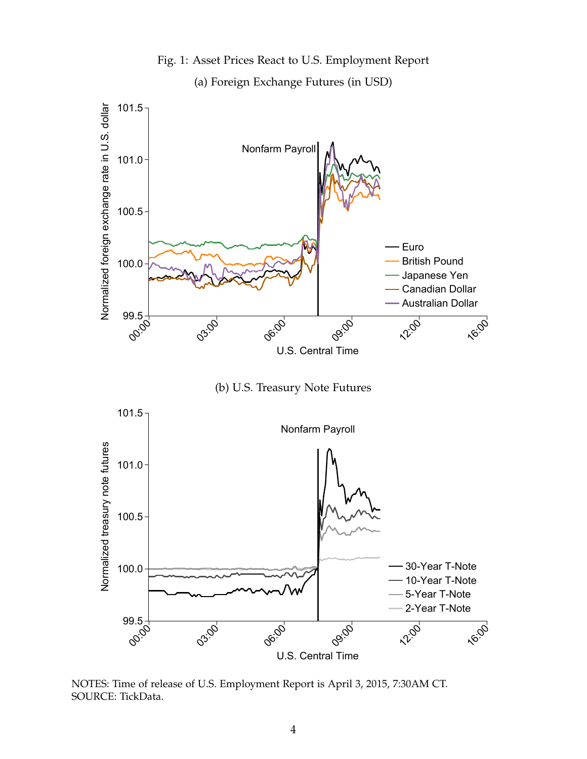<span id="page-3-0"></span>

Fig. 1: Asset Prices React to U.S. Employment Report

(b) U.S. Treasury Note Futures



NOTES: Time of release of U.S. Employment Report is April 3, 2015, 7:30AM CT. SOURCE: TickData.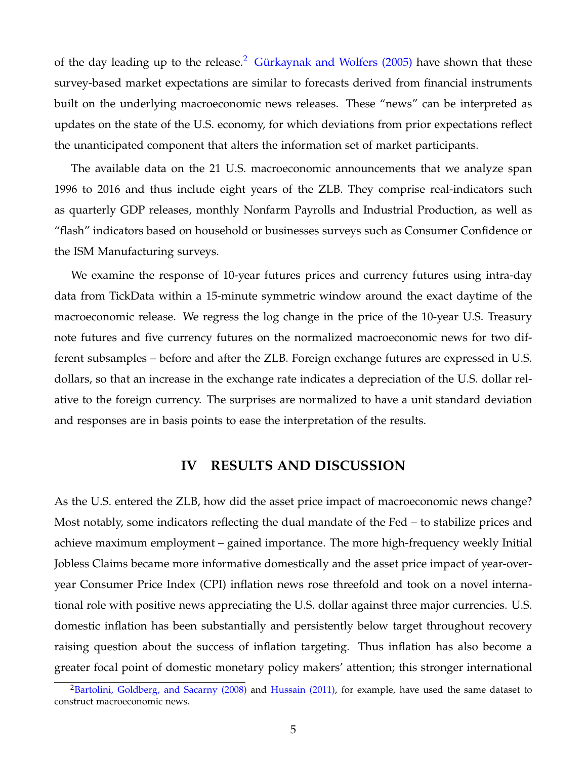of the day leading up to the release.<sup>2</sup> [Gürkaynak and Wolfers \(2005\)](#page-7-0) have shown that these survey-based market expectations are similar to forecasts derived from financial instruments built on the underlying macroeconomic news releases. These "news" can be interpreted as updates on the state of the U.S. economy, for which deviations from prior expectations reflect the unanticipated component that alters the information set of market participants.

The available data on the 21 U.S. macroeconomic announcements that we analyze span 1996 to 2016 and thus include eight years of the ZLB. They comprise real-indicators such as quarterly GDP releases, monthly Nonfarm Payrolls and Industrial Production, as well as "flash" indicators based on household or businesses surveys such as Consumer Confidence or the ISM Manufacturing surveys.

We examine the response of 10-year futures prices and currency futures using intra-day data from TickData within a 15-minute symmetric window around the exact daytime of the macroeconomic release. We regress the log change in the price of the 10-year U.S. Treasury note futures and five currency futures on the normalized macroeconomic news for two different subsamples – before and after the ZLB. Foreign exchange futures are expressed in U.S. dollars, so that an increase in the exchange rate indicates a depreciation of the U.S. dollar relative to the foreign currency. The surprises are normalized to have a unit standard deviation and responses are in basis points to ease the interpretation of the results.

### **IV RESULTS AND DISCUSSION**

As the U.S. entered the ZLB, how did the asset price impact of macroeconomic news change? Most notably, some indicators reflecting the dual mandate of the Fed – to stabilize prices and achieve maximum employment – gained importance. The more high-frequency weekly Initial Jobless Claims became more informative domestically and the asset price impact of year-overyear Consumer Price Index (CPI) inflation news rose threefold and took on a novel international role with positive news appreciating the U.S. dollar against three major currencies. U.S. domestic inflation has been substantially and persistently below target throughout recovery raising question about the success of inflation targeting. Thus inflation has also become a greater focal point of domestic monetary policy makers' attention; this stronger international

<sup>&</sup>lt;sup>2</sup>[Bartolini, Goldberg, and Sacarny \(2008\)](#page-7-0) and [Hussain \(2011\),](#page-7-0) for example, have used the same dataset to construct macroeconomic news.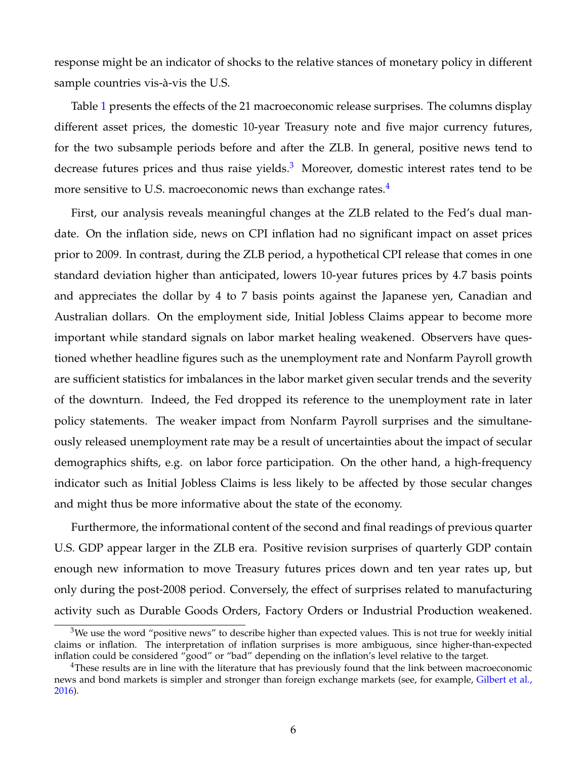response might be an indicator of shocks to the relative stances of monetary policy in different sample countries vis-à-vis the U.S.

Table [1](#page-8-0) presents the effects of the 21 macroeconomic release surprises. The columns display different asset prices, the domestic 10-year Treasury note and five major currency futures, for the two subsample periods before and after the ZLB. In general, positive news tend to decrease futures prices and thus raise yields. $3$  Moreover, domestic interest rates tend to be more sensitive to U.S. macroeconomic news than exchange rates.<sup>4</sup>

First, our analysis reveals meaningful changes at the ZLB related to the Fed's dual mandate. On the inflation side, news on CPI inflation had no significant impact on asset prices prior to 2009. In contrast, during the ZLB period, a hypothetical CPI release that comes in one standard deviation higher than anticipated, lowers 10-year futures prices by 4.7 basis points and appreciates the dollar by 4 to 7 basis points against the Japanese yen, Canadian and Australian dollars. On the employment side, Initial Jobless Claims appear to become more important while standard signals on labor market healing weakened. Observers have questioned whether headline figures such as the unemployment rate and Nonfarm Payroll growth are sufficient statistics for imbalances in the labor market given secular trends and the severity of the downturn. Indeed, the Fed dropped its reference to the unemployment rate in later policy statements. The weaker impact from Nonfarm Payroll surprises and the simultaneously released unemployment rate may be a result of uncertainties about the impact of secular demographics shifts, e.g. on labor force participation. On the other hand, a high-frequency indicator such as Initial Jobless Claims is less likely to be affected by those secular changes and might thus be more informative about the state of the economy.

Furthermore, the informational content of the second and final readings of previous quarter U.S. GDP appear larger in the ZLB era. Positive revision surprises of quarterly GDP contain enough new information to move Treasury futures prices down and ten year rates up, but only during the post-2008 period. Conversely, the effect of surprises related to manufacturing activity such as Durable Goods Orders, Factory Orders or Industrial Production weakened.

 $3$ We use the word "positive news" to describe higher than expected values. This is not true for weekly initial claims or inflation. The interpretation of inflation surprises is more ambiguous, since higher-than-expected inflation could be considered "good" or "bad" depending on the inflation's level relative to the target.

 $4$ These results are in line with the literature that has previously found that the link between macroeconomic news and bond markets is simpler and stronger than foreign exchange markets (see, for example, [Gilbert et al.,](#page-7-0) [2016\)](#page-7-0).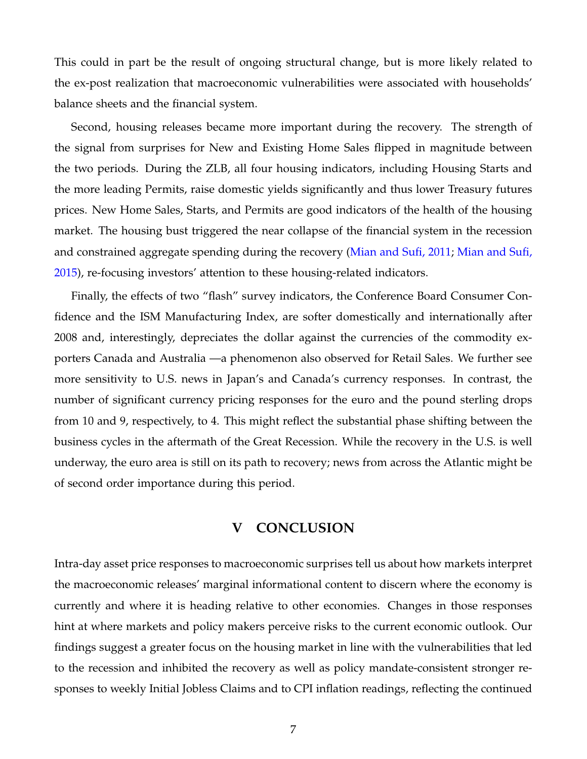This could in part be the result of ongoing structural change, but is more likely related to the ex-post realization that macroeconomic vulnerabilities were associated with households' balance sheets and the financial system.

Second, housing releases became more important during the recovery. The strength of the signal from surprises for New and Existing Home Sales flipped in magnitude between the two periods. During the ZLB, all four housing indicators, including Housing Starts and the more leading Permits, raise domestic yields significantly and thus lower Treasury futures prices. New Home Sales, Starts, and Permits are good indicators of the health of the housing market. The housing bust triggered the near collapse of the financial system in the recession and constrained aggregate spending during the recovery [\(Mian and Sufi, 2011;](#page-7-0) [Mian and Sufi,](#page-7-0) [2015\)](#page-7-0), re-focusing investors' attention to these housing-related indicators.

Finally, the effects of two "flash" survey indicators, the Conference Board Consumer Confidence and the ISM Manufacturing Index, are softer domestically and internationally after 2008 and, interestingly, depreciates the dollar against the currencies of the commodity exporters Canada and Australia —a phenomenon also observed for Retail Sales. We further see more sensitivity to U.S. news in Japan's and Canada's currency responses. In contrast, the number of significant currency pricing responses for the euro and the pound sterling drops from 10 and 9, respectively, to 4. This might reflect the substantial phase shifting between the business cycles in the aftermath of the Great Recession. While the recovery in the U.S. is well underway, the euro area is still on its path to recovery; news from across the Atlantic might be of second order importance during this period.

### **V CONCLUSION**

Intra-day asset price responses to macroeconomic surprises tell us about how markets interpret the macroeconomic releases' marginal informational content to discern where the economy is currently and where it is heading relative to other economies. Changes in those responses hint at where markets and policy makers perceive risks to the current economic outlook. Our findings suggest a greater focus on the housing market in line with the vulnerabilities that led to the recession and inhibited the recovery as well as policy mandate-consistent stronger responses to weekly Initial Jobless Claims and to CPI inflation readings, reflecting the continued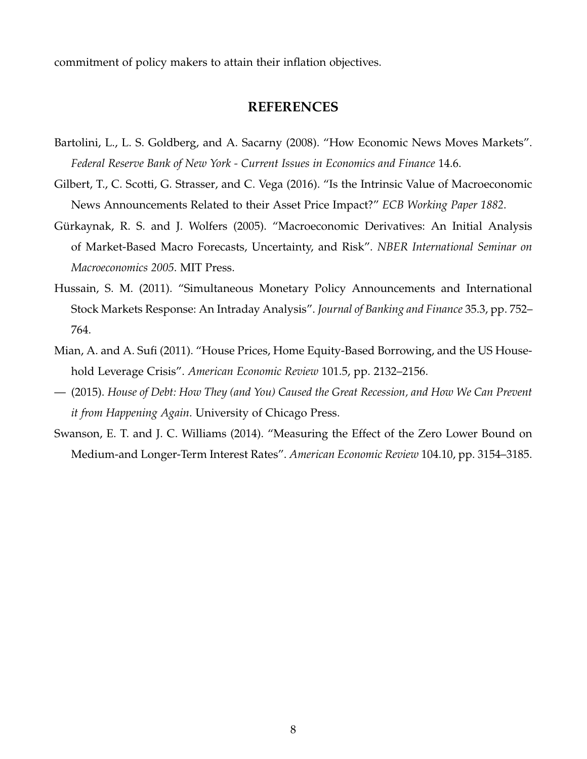<span id="page-7-0"></span>commitment of policy makers to attain their inflation objectives.

### **REFERENCES**

- Bartolini, L., L. S. Goldberg, and A. Sacarny (2008). "How Economic News Moves Markets". *Federal Reserve Bank of New York - Current Issues in Economics and Finance* 14.6.
- Gilbert, T., C. Scotti, G. Strasser, and C. Vega (2016). "Is the Intrinsic Value of Macroeconomic News Announcements Related to their Asset Price Impact?" *ECB Working Paper 1882*.
- Gürkaynak, R. S. and J. Wolfers (2005). "Macroeconomic Derivatives: An Initial Analysis of Market-Based Macro Forecasts, Uncertainty, and Risk". *NBER International Seminar on Macroeconomics 2005*. MIT Press.
- Hussain, S. M. (2011). "Simultaneous Monetary Policy Announcements and International Stock Markets Response: An Intraday Analysis". *Journal of Banking and Finance* 35.3, pp. 752– 764.
- Mian, A. and A. Sufi (2011). "House Prices, Home Equity-Based Borrowing, and the US Household Leverage Crisis". *American Economic Review* 101.5, pp. 2132–2156.
- (2015). *House of Debt: How They (and You) Caused the Great Recession, and How We Can Prevent it from Happening Again*. University of Chicago Press.
- Swanson, E. T. and J. C. Williams (2014). "Measuring the Effect of the Zero Lower Bound on Medium-and Longer-Term Interest Rates". *American Economic Review* 104.10, pp. 3154–3185.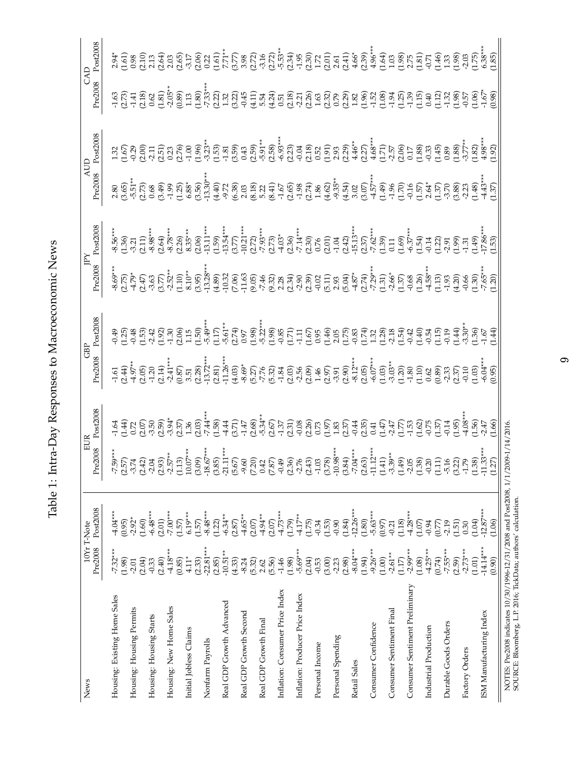| ֧֦֧֦֧֦֧֦֧֦֧֦֧֦֧֦֧֦֧֦֧֧֦֧֛֛֛֛֛֓֟֝֝֝֜֜֜֜֜<br>J |
|----------------------------------------------|
| ו המה ההה היה היה זה                         |
|                                              |
| ו<br>ו<br>j                                  |
|                                              |
| 2000000000<br>)<br>)<br>)<br>I<br>ſ<br>ľ     |
| $\frac{1}{2}$                                |
| I                                            |
| $\frac{1}{2}$                                |
| ï                                            |
|                                              |

<span id="page-8-0"></span>

| News                            | Pre2008               | Post2008<br>10Yr T-Note                                  | e2008<br>Ě                                                                                                                                                                                                                                                                                                                                                                                                                                                                                                                                        | ost2008 | Pre2008                                                                                                                                                                                                                                                                                                                                                                                                                      | ost2008                                                                                                                                                                                                                                                                                                                                                                                                                          | Pre2008                                              | 30025008                                                                                                                                                                                                                                                                                                           | Pre2008                                                                                                                                                                                                                                                                                                                                                                                                                                                                             | 0022008 | CAD<br>Pre2008                                                                                                                                                                                                                                                                                                                                                                                                                                                                                   | 30025008                                                                                                                                                                                                                                                                                                            |
|---------------------------------|-----------------------|----------------------------------------------------------|---------------------------------------------------------------------------------------------------------------------------------------------------------------------------------------------------------------------------------------------------------------------------------------------------------------------------------------------------------------------------------------------------------------------------------------------------------------------------------------------------------------------------------------------------|---------|------------------------------------------------------------------------------------------------------------------------------------------------------------------------------------------------------------------------------------------------------------------------------------------------------------------------------------------------------------------------------------------------------------------------------|----------------------------------------------------------------------------------------------------------------------------------------------------------------------------------------------------------------------------------------------------------------------------------------------------------------------------------------------------------------------------------------------------------------------------------|------------------------------------------------------|--------------------------------------------------------------------------------------------------------------------------------------------------------------------------------------------------------------------------------------------------------------------------------------------------------------------|-------------------------------------------------------------------------------------------------------------------------------------------------------------------------------------------------------------------------------------------------------------------------------------------------------------------------------------------------------------------------------------------------------------------------------------------------------------------------------------|---------|--------------------------------------------------------------------------------------------------------------------------------------------------------------------------------------------------------------------------------------------------------------------------------------------------------------------------------------------------------------------------------------------------------------------------------------------------------------------------------------------------|---------------------------------------------------------------------------------------------------------------------------------------------------------------------------------------------------------------------------------------------------------------------------------------------------------------------|
| Housing: Existing Home Sales    | $-7.32***$<br>(1.98)  | $4.04***$<br>(0.95)                                      |                                                                                                                                                                                                                                                                                                                                                                                                                                                                                                                                                   |         |                                                                                                                                                                                                                                                                                                                                                                                                                              |                                                                                                                                                                                                                                                                                                                                                                                                                                  |                                                      |                                                                                                                                                                                                                                                                                                                    |                                                                                                                                                                                                                                                                                                                                                                                                                                                                                     |         |                                                                                                                                                                                                                                                                                                                                                                                                                                                                                                  |                                                                                                                                                                                                                                                                                                                     |
| Housing: Housing Permits        | $-2.01$               | $-2.92*$                                                 |                                                                                                                                                                                                                                                                                                                                                                                                                                                                                                                                                   |         |                                                                                                                                                                                                                                                                                                                                                                                                                              |                                                                                                                                                                                                                                                                                                                                                                                                                                  |                                                      |                                                                                                                                                                                                                                                                                                                    |                                                                                                                                                                                                                                                                                                                                                                                                                                                                                     |         |                                                                                                                                                                                                                                                                                                                                                                                                                                                                                                  |                                                                                                                                                                                                                                                                                                                     |
| Housing: Housing Starts         | (2.04)<br>$-0.33$     | $-6.48***$<br>(1.60)                                     |                                                                                                                                                                                                                                                                                                                                                                                                                                                                                                                                                   |         |                                                                                                                                                                                                                                                                                                                                                                                                                              |                                                                                                                                                                                                                                                                                                                                                                                                                                  |                                                      |                                                                                                                                                                                                                                                                                                                    |                                                                                                                                                                                                                                                                                                                                                                                                                                                                                     |         |                                                                                                                                                                                                                                                                                                                                                                                                                                                                                                  |                                                                                                                                                                                                                                                                                                                     |
| Housing: New Home Sales         | $-4.18***$<br>(2.40)  | $-7.00***$<br>(2.01)                                     |                                                                                                                                                                                                                                                                                                                                                                                                                                                                                                                                                   |         |                                                                                                                                                                                                                                                                                                                                                                                                                              |                                                                                                                                                                                                                                                                                                                                                                                                                                  |                                                      |                                                                                                                                                                                                                                                                                                                    |                                                                                                                                                                                                                                                                                                                                                                                                                                                                                     |         |                                                                                                                                                                                                                                                                                                                                                                                                                                                                                                  |                                                                                                                                                                                                                                                                                                                     |
| Initial Jobless Claims          | $4.11*$<br>(0.85)     | $6.19***$<br>(1.57)                                      |                                                                                                                                                                                                                                                                                                                                                                                                                                                                                                                                                   |         |                                                                                                                                                                                                                                                                                                                                                                                                                              |                                                                                                                                                                                                                                                                                                                                                                                                                                  |                                                      |                                                                                                                                                                                                                                                                                                                    |                                                                                                                                                                                                                                                                                                                                                                                                                                                                                     |         |                                                                                                                                                                                                                                                                                                                                                                                                                                                                                                  |                                                                                                                                                                                                                                                                                                                     |
| Nonfarm Payrolls                | $-22.81***$<br>(2.33) | $-8.48***$<br>(1.57)                                     | $\begin{array}{l} \stackrel{\ast}{\mathfrak{p}}, \stackrel{\ast}{\mathfrak{p}}, \stackrel{\ast}{\mathfrak{p}}, \stackrel{\ast}{\mathfrak{p}}, \stackrel{\ast}{\mathfrak{p}}, \stackrel{\ast}{\mathfrak{p}}, \stackrel{\ast}{\mathfrak{p}}, \stackrel{\ast}{\mathfrak{p}}, \stackrel{\ast}{\mathfrak{p}}, \stackrel{\ast}{\mathfrak{p}}, \stackrel{\ast}{\mathfrak{p}}, \stackrel{\ast}{\mathfrak{p}}, \stackrel{\ast}{\mathfrak{p}}, \stackrel{\ast}{\mathfrak{p}}, \stackrel{\ast}{\mathfrak{p}}, \stackrel{\ast}{\mathfrak{p}}, \stackrel{\ast$ |         | $\begin{array}{l} \nabla \ddot{\phi}^*_{\mathbf{r}}(\mathbf{r},\mathbf{r}) = \nabla \ddot{\phi}^*_{\mathbf{r}}(\mathbf{r},\mathbf{r}) = \nabla \ddot{\phi}^*_{\mathbf{r}}(\mathbf{r},\mathbf{r}) = \nabla \ddot{\phi}^*_{\mathbf{r}}(\mathbf{r},\mathbf{r}) = \nabla \ddot{\phi}^*_{\mathbf{r}}(\mathbf{r},\mathbf{r}) = \nabla \ddot{\phi}^*_{\mathbf{r}}(\mathbf{r},\mathbf{r}) = \nabla \ddot{\phi}^*_{\mathbf{r}}(\math$ | $\begin{array}{l} \mathfrak{P},\mathfrak{P},\mathfrak{P},\mathfrak{P},\mathfrak{P},\mathfrak{P},\mathfrak{P},\mathfrak{P},\mathfrak{P},\mathfrak{P},\mathfrak{P},\mathfrak{P},\mathfrak{P},\mathfrak{P},\mathfrak{P},\mathfrak{P},\mathfrak{P},\mathfrak{P},\mathfrak{P},\mathfrak{P},\mathfrak{P},\mathfrak{P},\mathfrak{P},\mathfrak{P},\mathfrak{P},\mathfrak{P},\mathfrak{P},\mathfrak{P},\mathfrak{P},\mathfrak{P},\mathfr$ | ڋ<br>ۿ؋ڋڝ؋ڔڿۺٵػ؋ۿ؋؇ۄۊ؋ۄ؋ۄۼۄۿۄٷڝٷڋڝٷ؞<br>ڋۄ۬ڋۄ؋ۄڔڋؠٵ؋ | $\begin{array}{l} \begin{array}{l} \ast\ 4,0,0,1\\ \ast\ 6,0,1,1\\ \ast\ 7,0,1,1\\ \ast\ 8,0,1,1\\ \ast\ 9,0,1,1\\ \ast\ 10,0,0,0\\ \ast\ 10,0,0,0\\ \ast\ 10,0,0,0\\ \ast\ 10,0,0,0\\ \ast\ 10,0,0,0\\ \ast\ 10,0,0,0\\ \ast\ 10,0,0,0\\ \ast\ 10,0,0,0\\ \ast\ 10,0,0,0\\ \ast\ 10,0,0,0\\ \ast\ 10,0,0,0,0\\ \$ | $\begin{array}{l} \mathcal{Q} \oplus \mathcal{Q} \oplus \mathcal{Q} \oplus \mathcal{Q} \oplus \mathcal{Q} \oplus \mathcal{Q} \oplus \mathcal{Q} \oplus \mathcal{Q} \oplus \mathcal{Q} \oplus \mathcal{Q} \oplus \mathcal{Q} \oplus \mathcal{Q} \oplus \mathcal{Q} \oplus \mathcal{Q} \oplus \mathcal{Q} \oplus \mathcal{Q} \oplus \mathcal{Q} \oplus \mathcal{Q} \oplus \mathcal{Q} \oplus \mathcal{Q} \oplus \mathcal{Q} \oplus \mathcal{Q} \oplus \mathcal{Q} \oplus \mathcal{Q}$ |         | $\begin{array}{l} \mathcal{B}\in \mathcal{C}\cup\mathcal{C}\cup\mathcal{C}\\ \mathcal{C}\in \mathcal{C}\cup\mathcal{C}\cup\mathcal{C}\\ \mathcal{C}\cup\mathcal{C}\cup\mathcal{C}\cup\mathcal{C}\cup\mathcal{C}\\ \mathcal{C}\cup\mathcal{C}\cup\mathcal{C}\cup\mathcal{C}\cup\mathcal{C}\cup\mathcal{C}\\ \mathcal{C}\cup\mathcal{C}\cup\mathcal{C}\cup\mathcal{C}\cup\mathcal{C}\cup\mathcal{C}\cup\mathcal{C}\\ \mathcal{C}\cup\mathcal{C}\cup\mathcal{C}\cup\mathcal{C}\cup\mathcal{C}\cup\$ | $\frac{1}{2}$ $\frac{1}{2}$ $\frac{1}{2}$ $\frac{1}{2}$ $\frac{1}{2}$ $\frac{1}{2}$ $\frac{1}{2}$ $\frac{1}{2}$ $\frac{1}{2}$ $\frac{1}{2}$ $\frac{1}{2}$ $\frac{1}{2}$ $\frac{1}{2}$ $\frac{1}{2}$ $\frac{1}{2}$ $\frac{1}{2}$ $\frac{1}{2}$ $\frac{1}{2}$ $\frac{1}{2}$ $\frac{1}{2}$ $\frac{1}{2}$ $\frac{1}{2}$ |
| Real GDP Growth Advanced        | $(2.85)$<br>-10.51**  | $-6.34**$<br>(1.22)                                      |                                                                                                                                                                                                                                                                                                                                                                                                                                                                                                                                                   |         |                                                                                                                                                                                                                                                                                                                                                                                                                              |                                                                                                                                                                                                                                                                                                                                                                                                                                  |                                                      |                                                                                                                                                                                                                                                                                                                    |                                                                                                                                                                                                                                                                                                                                                                                                                                                                                     |         |                                                                                                                                                                                                                                                                                                                                                                                                                                                                                                  |                                                                                                                                                                                                                                                                                                                     |
|                                 | (4.33)<br>$-8.24$     | $(2.87)$<br>$-4.65**$                                    |                                                                                                                                                                                                                                                                                                                                                                                                                                                                                                                                                   |         |                                                                                                                                                                                                                                                                                                                                                                                                                              |                                                                                                                                                                                                                                                                                                                                                                                                                                  |                                                      |                                                                                                                                                                                                                                                                                                                    |                                                                                                                                                                                                                                                                                                                                                                                                                                                                                     |         |                                                                                                                                                                                                                                                                                                                                                                                                                                                                                                  |                                                                                                                                                                                                                                                                                                                     |
| Real GDP Growth Second          | (5.32)                | (2.07)                                                   |                                                                                                                                                                                                                                                                                                                                                                                                                                                                                                                                                   |         |                                                                                                                                                                                                                                                                                                                                                                                                                              |                                                                                                                                                                                                                                                                                                                                                                                                                                  |                                                      |                                                                                                                                                                                                                                                                                                                    |                                                                                                                                                                                                                                                                                                                                                                                                                                                                                     |         |                                                                                                                                                                                                                                                                                                                                                                                                                                                                                                  |                                                                                                                                                                                                                                                                                                                     |
| Real GDP Growth Final           | 2.62<br>(5.56)        | $-4.94**$<br>$(2.07)$                                    |                                                                                                                                                                                                                                                                                                                                                                                                                                                                                                                                                   |         |                                                                                                                                                                                                                                                                                                                                                                                                                              |                                                                                                                                                                                                                                                                                                                                                                                                                                  |                                                      |                                                                                                                                                                                                                                                                                                                    |                                                                                                                                                                                                                                                                                                                                                                                                                                                                                     |         |                                                                                                                                                                                                                                                                                                                                                                                                                                                                                                  |                                                                                                                                                                                                                                                                                                                     |
| Inflation: Consumer Price Index | $-1.46$               | $-4.73***$                                               |                                                                                                                                                                                                                                                                                                                                                                                                                                                                                                                                                   |         |                                                                                                                                                                                                                                                                                                                                                                                                                              |                                                                                                                                                                                                                                                                                                                                                                                                                                  |                                                      |                                                                                                                                                                                                                                                                                                                    |                                                                                                                                                                                                                                                                                                                                                                                                                                                                                     |         |                                                                                                                                                                                                                                                                                                                                                                                                                                                                                                  |                                                                                                                                                                                                                                                                                                                     |
| Inflation: Producer Price Index | $-5.69***$<br>(1.98)  | $-4.17**$<br>(1.79)                                      |                                                                                                                                                                                                                                                                                                                                                                                                                                                                                                                                                   |         |                                                                                                                                                                                                                                                                                                                                                                                                                              |                                                                                                                                                                                                                                                                                                                                                                                                                                  |                                                      |                                                                                                                                                                                                                                                                                                                    |                                                                                                                                                                                                                                                                                                                                                                                                                                                                                     |         |                                                                                                                                                                                                                                                                                                                                                                                                                                                                                                  |                                                                                                                                                                                                                                                                                                                     |
|                                 | (2.04)                |                                                          |                                                                                                                                                                                                                                                                                                                                                                                                                                                                                                                                                   |         |                                                                                                                                                                                                                                                                                                                                                                                                                              |                                                                                                                                                                                                                                                                                                                                                                                                                                  |                                                      |                                                                                                                                                                                                                                                                                                                    |                                                                                                                                                                                                                                                                                                                                                                                                                                                                                     |         |                                                                                                                                                                                                                                                                                                                                                                                                                                                                                                  |                                                                                                                                                                                                                                                                                                                     |
| Personal Income                 | (3.00)                |                                                          |                                                                                                                                                                                                                                                                                                                                                                                                                                                                                                                                                   |         |                                                                                                                                                                                                                                                                                                                                                                                                                              |                                                                                                                                                                                                                                                                                                                                                                                                                                  |                                                      |                                                                                                                                                                                                                                                                                                                    |                                                                                                                                                                                                                                                                                                                                                                                                                                                                                     |         |                                                                                                                                                                                                                                                                                                                                                                                                                                                                                                  |                                                                                                                                                                                                                                                                                                                     |
| Personal Spending               | $-2.23$<br>(2.98)     | $(1.75)$<br>$(1.53)$<br>$(1.53)$<br>$(1.84)$<br>$(1.84)$ |                                                                                                                                                                                                                                                                                                                                                                                                                                                                                                                                                   |         |                                                                                                                                                                                                                                                                                                                                                                                                                              |                                                                                                                                                                                                                                                                                                                                                                                                                                  |                                                      |                                                                                                                                                                                                                                                                                                                    |                                                                                                                                                                                                                                                                                                                                                                                                                                                                                     |         |                                                                                                                                                                                                                                                                                                                                                                                                                                                                                                  |                                                                                                                                                                                                                                                                                                                     |
| Retail Sales                    | $-8.04***$            | $12.26***$                                               |                                                                                                                                                                                                                                                                                                                                                                                                                                                                                                                                                   |         |                                                                                                                                                                                                                                                                                                                                                                                                                              |                                                                                                                                                                                                                                                                                                                                                                                                                                  |                                                      |                                                                                                                                                                                                                                                                                                                    |                                                                                                                                                                                                                                                                                                                                                                                                                                                                                     |         |                                                                                                                                                                                                                                                                                                                                                                                                                                                                                                  |                                                                                                                                                                                                                                                                                                                     |
| Consumer Confidence             | $-9.26***$<br>(1.94)  | $-5.63***$<br>(1.80)                                     |                                                                                                                                                                                                                                                                                                                                                                                                                                                                                                                                                   |         |                                                                                                                                                                                                                                                                                                                                                                                                                              |                                                                                                                                                                                                                                                                                                                                                                                                                                  |                                                      |                                                                                                                                                                                                                                                                                                                    |                                                                                                                                                                                                                                                                                                                                                                                                                                                                                     |         |                                                                                                                                                                                                                                                                                                                                                                                                                                                                                                  |                                                                                                                                                                                                                                                                                                                     |
| Consumer Sentiment Final        | $(1.00)$<br>-2.61**   | (0.97)<br>$-0.21$                                        |                                                                                                                                                                                                                                                                                                                                                                                                                                                                                                                                                   |         |                                                                                                                                                                                                                                                                                                                                                                                                                              |                                                                                                                                                                                                                                                                                                                                                                                                                                  |                                                      |                                                                                                                                                                                                                                                                                                                    |                                                                                                                                                                                                                                                                                                                                                                                                                                                                                     |         |                                                                                                                                                                                                                                                                                                                                                                                                                                                                                                  |                                                                                                                                                                                                                                                                                                                     |
|                                 | (1.17)                | $(1.18)$<br>$-4.28***$                                   |                                                                                                                                                                                                                                                                                                                                                                                                                                                                                                                                                   |         |                                                                                                                                                                                                                                                                                                                                                                                                                              |                                                                                                                                                                                                                                                                                                                                                                                                                                  |                                                      |                                                                                                                                                                                                                                                                                                                    |                                                                                                                                                                                                                                                                                                                                                                                                                                                                                     |         |                                                                                                                                                                                                                                                                                                                                                                                                                                                                                                  |                                                                                                                                                                                                                                                                                                                     |
| Consumer Sentiment Preliminary  | $-2.99***$<br>(1.08)  | (1.07)                                                   |                                                                                                                                                                                                                                                                                                                                                                                                                                                                                                                                                   |         |                                                                                                                                                                                                                                                                                                                                                                                                                              |                                                                                                                                                                                                                                                                                                                                                                                                                                  |                                                      |                                                                                                                                                                                                                                                                                                                    |                                                                                                                                                                                                                                                                                                                                                                                                                                                                                     |         |                                                                                                                                                                                                                                                                                                                                                                                                                                                                                                  |                                                                                                                                                                                                                                                                                                                     |
| Industrial Production           | $-4.25***$<br>(0.74)  | $-0.94$<br>$(0.77)$                                      |                                                                                                                                                                                                                                                                                                                                                                                                                                                                                                                                                   |         |                                                                                                                                                                                                                                                                                                                                                                                                                              |                                                                                                                                                                                                                                                                                                                                                                                                                                  |                                                      |                                                                                                                                                                                                                                                                                                                    |                                                                                                                                                                                                                                                                                                                                                                                                                                                                                     |         |                                                                                                                                                                                                                                                                                                                                                                                                                                                                                                  |                                                                                                                                                                                                                                                                                                                     |
| Durable Goods Orders            | $-7.55***$            | $-2.19$                                                  |                                                                                                                                                                                                                                                                                                                                                                                                                                                                                                                                                   |         |                                                                                                                                                                                                                                                                                                                                                                                                                              |                                                                                                                                                                                                                                                                                                                                                                                                                                  |                                                      |                                                                                                                                                                                                                                                                                                                    |                                                                                                                                                                                                                                                                                                                                                                                                                                                                                     |         |                                                                                                                                                                                                                                                                                                                                                                                                                                                                                                  |                                                                                                                                                                                                                                                                                                                     |
| Factory Orders                  | $-2.73***$<br>(2.59)  | $\binom{1.51}{0.30}$                                     |                                                                                                                                                                                                                                                                                                                                                                                                                                                                                                                                                   |         |                                                                                                                                                                                                                                                                                                                                                                                                                              |                                                                                                                                                                                                                                                                                                                                                                                                                                  |                                                      |                                                                                                                                                                                                                                                                                                                    |                                                                                                                                                                                                                                                                                                                                                                                                                                                                                     |         |                                                                                                                                                                                                                                                                                                                                                                                                                                                                                                  |                                                                                                                                                                                                                                                                                                                     |
| ISM Manufacturing Index         | $-14.14***$<br>(1.01) | $12.87***$<br>(1.04)                                     |                                                                                                                                                                                                                                                                                                                                                                                                                                                                                                                                                   |         |                                                                                                                                                                                                                                                                                                                                                                                                                              |                                                                                                                                                                                                                                                                                                                                                                                                                                  |                                                      |                                                                                                                                                                                                                                                                                                                    |                                                                                                                                                                                                                                                                                                                                                                                                                                                                                     |         |                                                                                                                                                                                                                                                                                                                                                                                                                                                                                                  |                                                                                                                                                                                                                                                                                                                     |
|                                 | (0.90)                | (1.06)                                                   |                                                                                                                                                                                                                                                                                                                                                                                                                                                                                                                                                   |         |                                                                                                                                                                                                                                                                                                                                                                                                                              |                                                                                                                                                                                                                                                                                                                                                                                                                                  |                                                      |                                                                                                                                                                                                                                                                                                                    |                                                                                                                                                                                                                                                                                                                                                                                                                                                                                     |         |                                                                                                                                                                                                                                                                                                                                                                                                                                                                                                  |                                                                                                                                                                                                                                                                                                                     |

NOTES: Pre2008 indicates 10/30/1996-12/31/2008 and Post2008, 1/1/2009-1/14/2016.<br>SOURCE: Bloomberg, L.P. 2016; TickData; authors' calculation. NOTES: Pre2008 indicates 10/30/1996-12/31/2008 and Post2008, 1/1/2009-1/14/2016. SOURCE: Bloomberg, L.P. 2016; TickData; authors' calculation.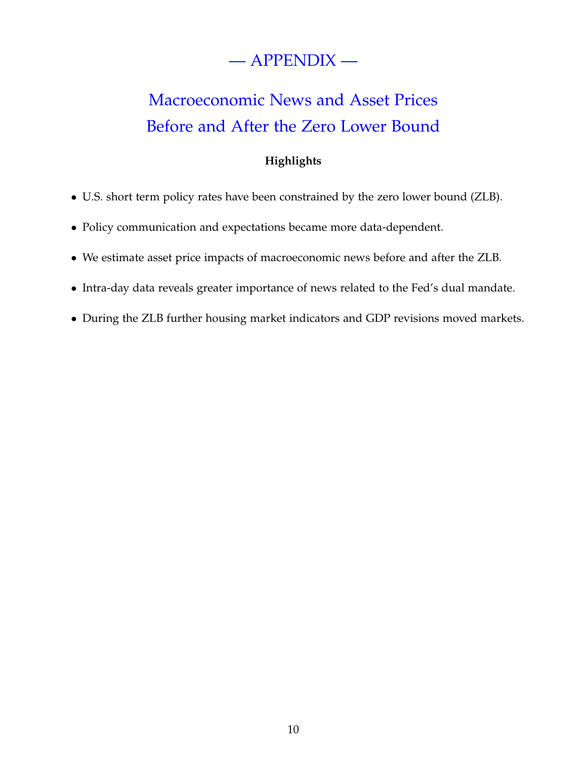# — APPENDIX —

# Macroeconomic News and Asset Prices Before and After the Zero Lower Bound

### **Highlights**

- U.S. short term policy rates have been constrained by the zero lower bound (ZLB).
- Policy communication and expectations became more data-dependent.
- We estimate asset price impacts of macroeconomic news before and after the ZLB.
- Intra-day data reveals greater importance of news related to the Fed's dual mandate.
- During the ZLB further housing market indicators and GDP revisions moved markets.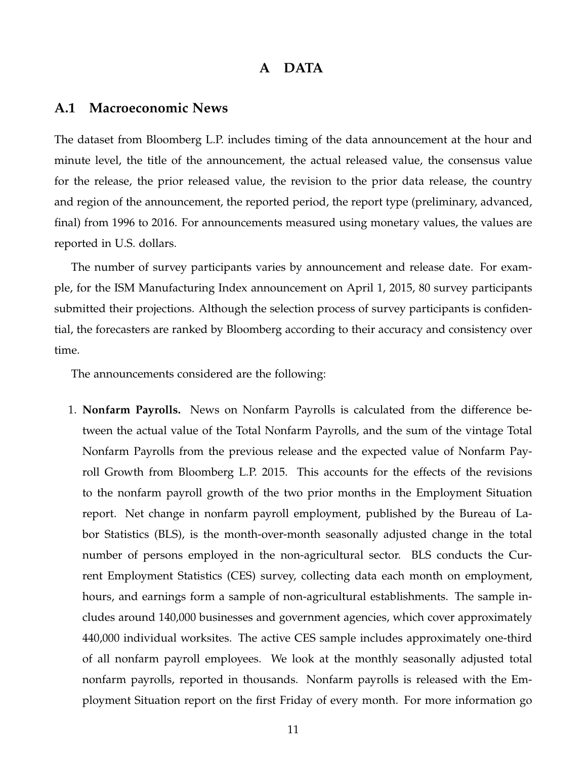#### **A DATA**

#### **A.1 Macroeconomic News**

The dataset from Bloomberg L.P. includes timing of the data announcement at the hour and minute level, the title of the announcement, the actual released value, the consensus value for the release, the prior released value, the revision to the prior data release, the country and region of the announcement, the reported period, the report type (preliminary, advanced, final) from 1996 to 2016. For announcements measured using monetary values, the values are reported in U.S. dollars.

The number of survey participants varies by announcement and release date. For example, for the ISM Manufacturing Index announcement on April 1, 2015, 80 survey participants submitted their projections. Although the selection process of survey participants is confidential, the forecasters are ranked by Bloomberg according to their accuracy and consistency over time.

The announcements considered are the following:

1. **Nonfarm Payrolls.** News on Nonfarm Payrolls is calculated from the difference between the actual value of the Total Nonfarm Payrolls, and the sum of the vintage Total Nonfarm Payrolls from the previous release and the expected value of Nonfarm Payroll Growth from Bloomberg L.P. 2015. This accounts for the effects of the revisions to the nonfarm payroll growth of the two prior months in the Employment Situation report. Net change in nonfarm payroll employment, published by the Bureau of Labor Statistics (BLS), is the month-over-month seasonally adjusted change in the total number of persons employed in the non-agricultural sector. BLS conducts the Current Employment Statistics (CES) survey, collecting data each month on employment, hours, and earnings form a sample of non-agricultural establishments. The sample includes around 140,000 businesses and government agencies, which cover approximately 440,000 individual worksites. The active CES sample includes approximately one-third of all nonfarm payroll employees. We look at the monthly seasonally adjusted total nonfarm payrolls, reported in thousands. Nonfarm payrolls is released with the Employment Situation report on the first Friday of every month. For more information go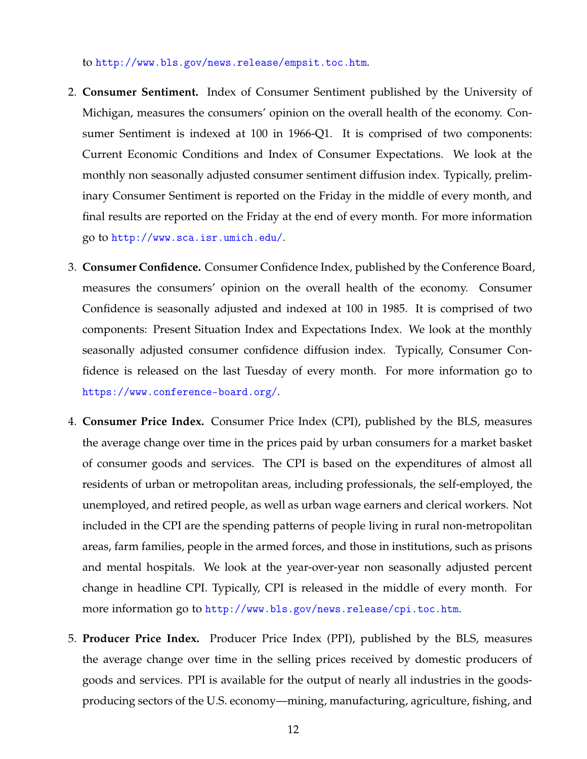to <http://www.bls.gov/news.release/empsit.toc.htm>.

- 2. **Consumer Sentiment.** Index of Consumer Sentiment published by the University of Michigan, measures the consumers' opinion on the overall health of the economy. Consumer Sentiment is indexed at 100 in 1966-Q1. It is comprised of two components: Current Economic Conditions and Index of Consumer Expectations. We look at the monthly non seasonally adjusted consumer sentiment diffusion index. Typically, preliminary Consumer Sentiment is reported on the Friday in the middle of every month, and final results are reported on the Friday at the end of every month. For more information go to <http://www.sca.isr.umich.edu/>.
- 3. **Consumer Confidence.** Consumer Confidence Index, published by the Conference Board, measures the consumers' opinion on the overall health of the economy. Consumer Confidence is seasonally adjusted and indexed at 100 in 1985. It is comprised of two components: Present Situation Index and Expectations Index. We look at the monthly seasonally adjusted consumer confidence diffusion index. Typically, Consumer Confidence is released on the last Tuesday of every month. For more information go to <https://www.conference-board.org/>.
- 4. **Consumer Price Index.** Consumer Price Index (CPI), published by the BLS, measures the average change over time in the prices paid by urban consumers for a market basket of consumer goods and services. The CPI is based on the expenditures of almost all residents of urban or metropolitan areas, including professionals, the self-employed, the unemployed, and retired people, as well as urban wage earners and clerical workers. Not included in the CPI are the spending patterns of people living in rural non-metropolitan areas, farm families, people in the armed forces, and those in institutions, such as prisons and mental hospitals. We look at the year-over-year non seasonally adjusted percent change in headline CPI. Typically, CPI is released in the middle of every month. For more information go to <http://www.bls.gov/news.release/cpi.toc.htm>.
- 5. **Producer Price Index.** Producer Price Index (PPI), published by the BLS, measures the average change over time in the selling prices received by domestic producers of goods and services. PPI is available for the output of nearly all industries in the goodsproducing sectors of the U.S. economy—mining, manufacturing, agriculture, fishing, and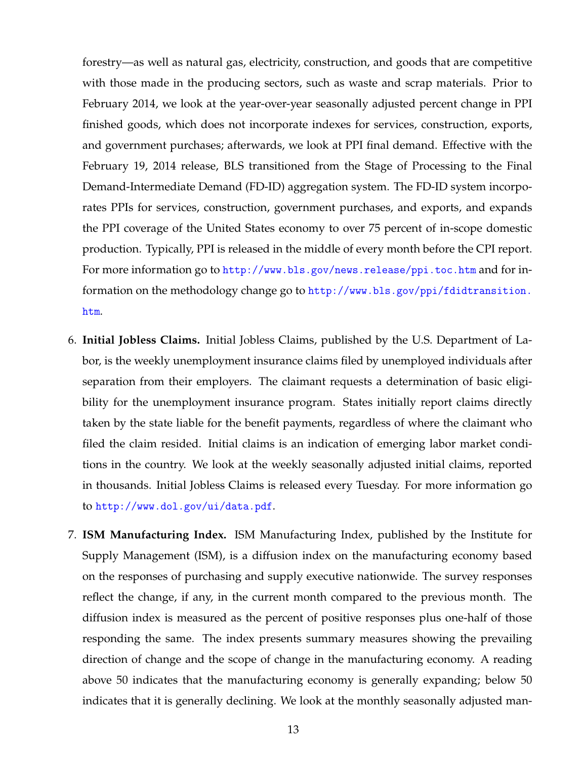forestry—as well as natural gas, electricity, construction, and goods that are competitive with those made in the producing sectors, such as waste and scrap materials. Prior to February 2014, we look at the year-over-year seasonally adjusted percent change in PPI finished goods, which does not incorporate indexes for services, construction, exports, and government purchases; afterwards, we look at PPI final demand. Effective with the February 19, 2014 release, BLS transitioned from the Stage of Processing to the Final Demand-Intermediate Demand (FD-ID) aggregation system. The FD-ID system incorporates PPIs for services, construction, government purchases, and exports, and expands the PPI coverage of the United States economy to over 75 percent of in-scope domestic production. Typically, PPI is released in the middle of every month before the CPI report. For more information go to <http://www.bls.gov/news.release/ppi.toc.htm> and for information on the methodology change go to [http://www.bls.gov/ppi/fdidtransition.](http://www.bls.gov/ppi/fdidtransition.htm) [htm](http://www.bls.gov/ppi/fdidtransition.htm).

- 6. **Initial Jobless Claims.** Initial Jobless Claims, published by the U.S. Department of Labor, is the weekly unemployment insurance claims filed by unemployed individuals after separation from their employers. The claimant requests a determination of basic eligibility for the unemployment insurance program. States initially report claims directly taken by the state liable for the benefit payments, regardless of where the claimant who filed the claim resided. Initial claims is an indication of emerging labor market conditions in the country. We look at the weekly seasonally adjusted initial claims, reported in thousands. Initial Jobless Claims is released every Tuesday. For more information go to <http://www.dol.gov/ui/data.pdf>.
- 7. **ISM Manufacturing Index.** ISM Manufacturing Index, published by the Institute for Supply Management (ISM), is a diffusion index on the manufacturing economy based on the responses of purchasing and supply executive nationwide. The survey responses reflect the change, if any, in the current month compared to the previous month. The diffusion index is measured as the percent of positive responses plus one-half of those responding the same. The index presents summary measures showing the prevailing direction of change and the scope of change in the manufacturing economy. A reading above 50 indicates that the manufacturing economy is generally expanding; below 50 indicates that it is generally declining. We look at the monthly seasonally adjusted man-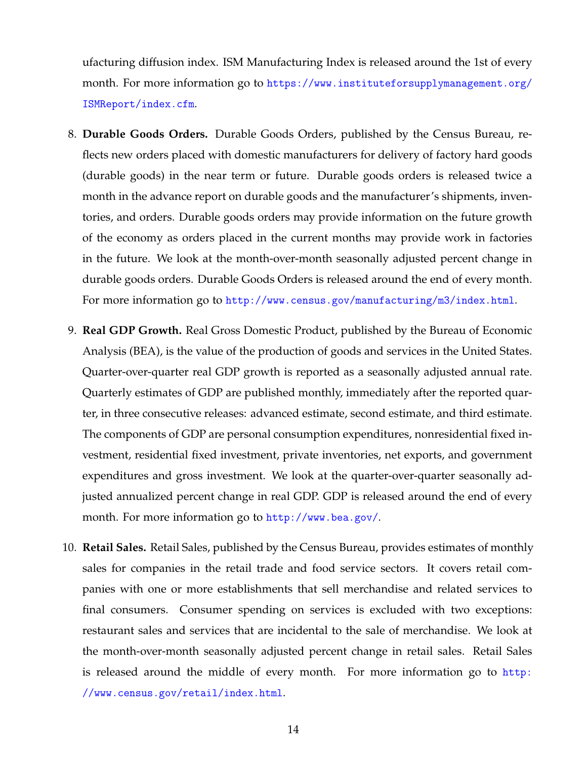ufacturing diffusion index. ISM Manufacturing Index is released around the 1st of every month. For more information go to [https://www.instituteforsupplymanagement.org/](https://www.instituteforsupplymanagement.org/ISMReport/index.cfm) [ISMReport/index.cfm](https://www.instituteforsupplymanagement.org/ISMReport/index.cfm).

- 8. **Durable Goods Orders.** Durable Goods Orders, published by the Census Bureau, reflects new orders placed with domestic manufacturers for delivery of factory hard goods (durable goods) in the near term or future. Durable goods orders is released twice a month in the advance report on durable goods and the manufacturer's shipments, inventories, and orders. Durable goods orders may provide information on the future growth of the economy as orders placed in the current months may provide work in factories in the future. We look at the month-over-month seasonally adjusted percent change in durable goods orders. Durable Goods Orders is released around the end of every month. For more information go to <http://www.census.gov/manufacturing/m3/index.html>.
- 9. **Real GDP Growth.** Real Gross Domestic Product, published by the Bureau of Economic Analysis (BEA), is the value of the production of goods and services in the United States. Quarter-over-quarter real GDP growth is reported as a seasonally adjusted annual rate. Quarterly estimates of GDP are published monthly, immediately after the reported quarter, in three consecutive releases: advanced estimate, second estimate, and third estimate. The components of GDP are personal consumption expenditures, nonresidential fixed investment, residential fixed investment, private inventories, net exports, and government expenditures and gross investment. We look at the quarter-over-quarter seasonally adjusted annualized percent change in real GDP. GDP is released around the end of every month. For more information go to <http://www.bea.gov/>.
- 10. **Retail Sales.** Retail Sales, published by the Census Bureau, provides estimates of monthly sales for companies in the retail trade and food service sectors. It covers retail companies with one or more establishments that sell merchandise and related services to final consumers. Consumer spending on services is excluded with two exceptions: restaurant sales and services that are incidental to the sale of merchandise. We look at the month-over-month seasonally adjusted percent change in retail sales. Retail Sales is released around the middle of every month. For more information go to [http:](http://www.census.gov/retail/index.html) [//www.census.gov/retail/index.html](http://www.census.gov/retail/index.html).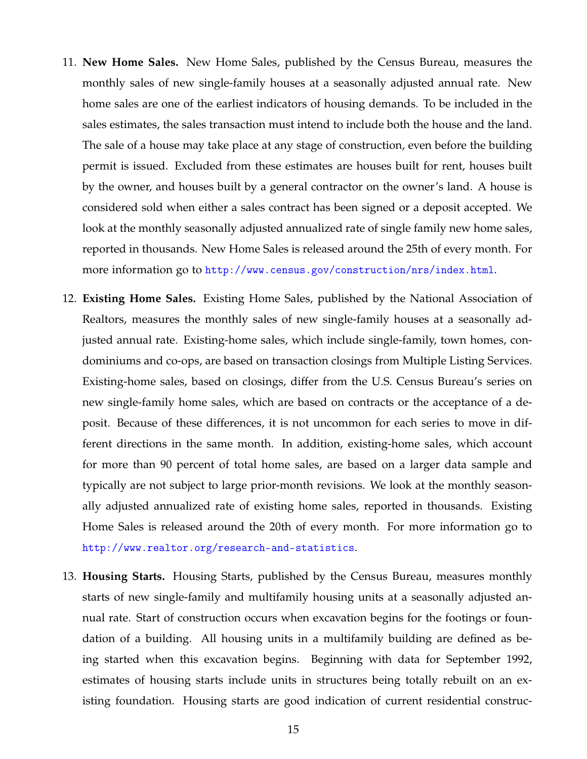- 11. **New Home Sales.** New Home Sales, published by the Census Bureau, measures the monthly sales of new single-family houses at a seasonally adjusted annual rate. New home sales are one of the earliest indicators of housing demands. To be included in the sales estimates, the sales transaction must intend to include both the house and the land. The sale of a house may take place at any stage of construction, even before the building permit is issued. Excluded from these estimates are houses built for rent, houses built by the owner, and houses built by a general contractor on the owner's land. A house is considered sold when either a sales contract has been signed or a deposit accepted. We look at the monthly seasonally adjusted annualized rate of single family new home sales, reported in thousands. New Home Sales is released around the 25th of every month. For more information go to <http://www.census.gov/construction/nrs/index.html>.
- 12. **Existing Home Sales.** Existing Home Sales, published by the National Association of Realtors, measures the monthly sales of new single-family houses at a seasonally adjusted annual rate. Existing-home sales, which include single-family, town homes, condominiums and co-ops, are based on transaction closings from Multiple Listing Services. Existing-home sales, based on closings, differ from the U.S. Census Bureau's series on new single-family home sales, which are based on contracts or the acceptance of a deposit. Because of these differences, it is not uncommon for each series to move in different directions in the same month. In addition, existing-home sales, which account for more than 90 percent of total home sales, are based on a larger data sample and typically are not subject to large prior-month revisions. We look at the monthly seasonally adjusted annualized rate of existing home sales, reported in thousands. Existing Home Sales is released around the 20th of every month. For more information go to <http://www.realtor.org/research-and-statistics>.
- 13. **Housing Starts.** Housing Starts, published by the Census Bureau, measures monthly starts of new single-family and multifamily housing units at a seasonally adjusted annual rate. Start of construction occurs when excavation begins for the footings or foundation of a building. All housing units in a multifamily building are defined as being started when this excavation begins. Beginning with data for September 1992, estimates of housing starts include units in structures being totally rebuilt on an existing foundation. Housing starts are good indication of current residential construc-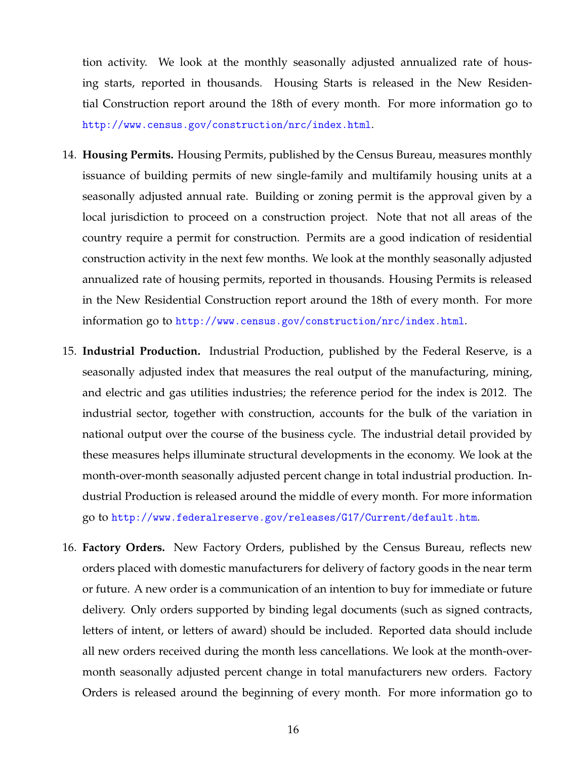tion activity. We look at the monthly seasonally adjusted annualized rate of housing starts, reported in thousands. Housing Starts is released in the New Residential Construction report around the 18th of every month. For more information go to <http://www.census.gov/construction/nrc/index.html>.

- 14. **Housing Permits.** Housing Permits, published by the Census Bureau, measures monthly issuance of building permits of new single-family and multifamily housing units at a seasonally adjusted annual rate. Building or zoning permit is the approval given by a local jurisdiction to proceed on a construction project. Note that not all areas of the country require a permit for construction. Permits are a good indication of residential construction activity in the next few months. We look at the monthly seasonally adjusted annualized rate of housing permits, reported in thousands. Housing Permits is released in the New Residential Construction report around the 18th of every month. For more information go to <http://www.census.gov/construction/nrc/index.html>.
- 15. **Industrial Production.** Industrial Production, published by the Federal Reserve, is a seasonally adjusted index that measures the real output of the manufacturing, mining, and electric and gas utilities industries; the reference period for the index is 2012. The industrial sector, together with construction, accounts for the bulk of the variation in national output over the course of the business cycle. The industrial detail provided by these measures helps illuminate structural developments in the economy. We look at the month-over-month seasonally adjusted percent change in total industrial production. Industrial Production is released around the middle of every month. For more information go to <http://www.federalreserve.gov/releases/G17/Current/default.htm>.
- 16. **Factory Orders.** New Factory Orders, published by the Census Bureau, reflects new orders placed with domestic manufacturers for delivery of factory goods in the near term or future. A new order is a communication of an intention to buy for immediate or future delivery. Only orders supported by binding legal documents (such as signed contracts, letters of intent, or letters of award) should be included. Reported data should include all new orders received during the month less cancellations. We look at the month-overmonth seasonally adjusted percent change in total manufacturers new orders. Factory Orders is released around the beginning of every month. For more information go to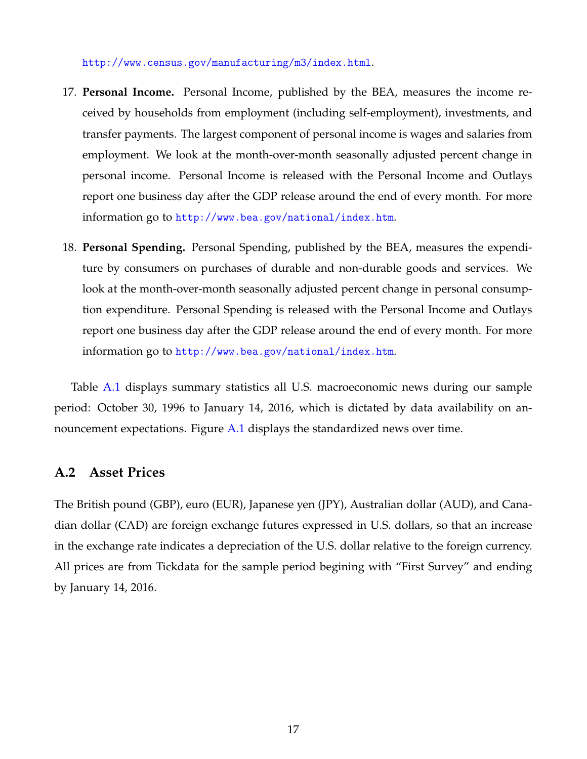<http://www.census.gov/manufacturing/m3/index.html>.

- 17. **Personal Income.** Personal Income, published by the BEA, measures the income received by households from employment (including self-employment), investments, and transfer payments. The largest component of personal income is wages and salaries from employment. We look at the month-over-month seasonally adjusted percent change in personal income. Personal Income is released with the Personal Income and Outlays report one business day after the GDP release around the end of every month. For more information go to <http://www.bea.gov/national/index.htm>.
- 18. **Personal Spending.** Personal Spending, published by the BEA, measures the expenditure by consumers on purchases of durable and non-durable goods and services. We look at the month-over-month seasonally adjusted percent change in personal consumption expenditure. Personal Spending is released with the Personal Income and Outlays report one business day after the GDP release around the end of every month. For more information go to <http://www.bea.gov/national/index.htm>.

Table [A.1](#page-18-0) displays summary statistics all U.S. macroeconomic news during our sample period: October 30, 1996 to January 14, 2016, which is dictated by data availability on announcement expectations. Figure [A.1](#page-17-0) displays the standardized news over time.

#### **A.2 Asset Prices**

The British pound (GBP), euro (EUR), Japanese yen (JPY), Australian dollar (AUD), and Canadian dollar (CAD) are foreign exchange futures expressed in U.S. dollars, so that an increase in the exchange rate indicates a depreciation of the U.S. dollar relative to the foreign currency. All prices are from Tickdata for the sample period begining with "First Survey" and ending by January 14, 2016.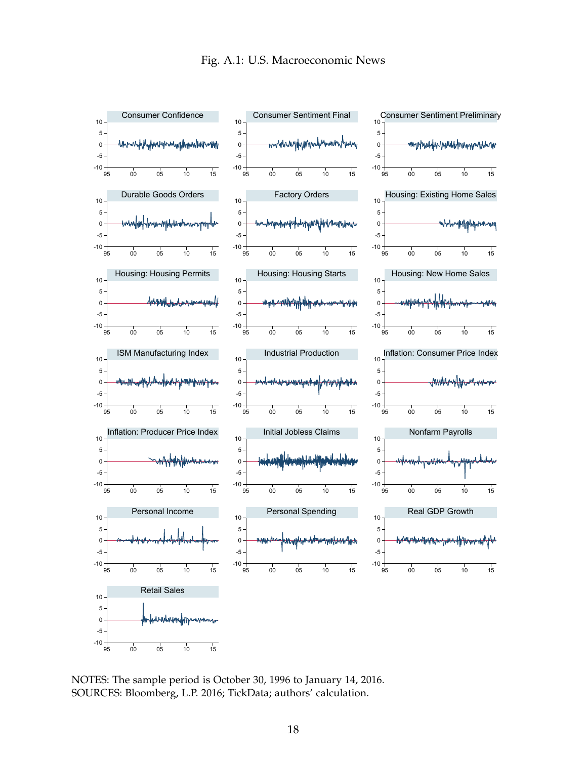<span id="page-17-0"></span>

**Notes:** The sample period is October 30, 1996 to January 14, 2016. NOTES: The sample period is October 30, 1996 to January 14, 2016. **Sources:** Bloomberg; Tickdata; authors' calculations. SOURCES: Bloomberg, L.P. 2016; TickData; authors' calculation.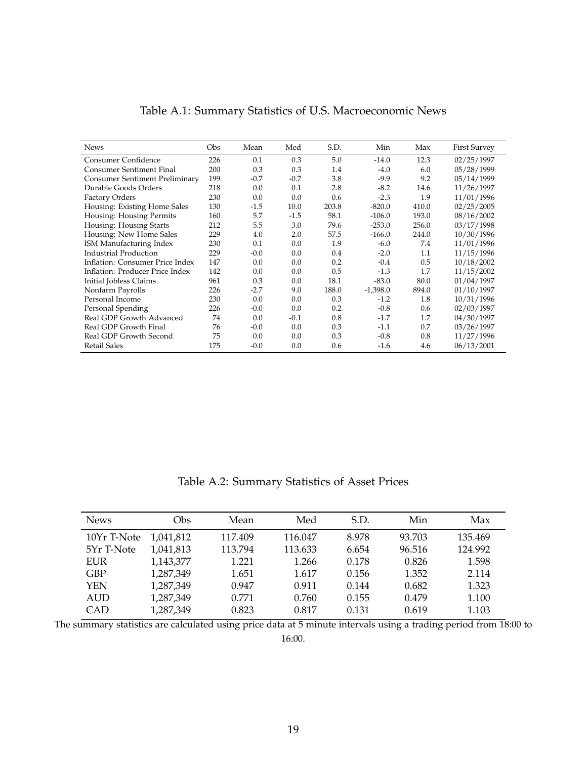<span id="page-18-0"></span>

| <b>News</b>                     | <b>Obs</b> | Mean   | Med    | S.D.  | Min        | Max   | <b>First Survey</b> |
|---------------------------------|------------|--------|--------|-------|------------|-------|---------------------|
| Consumer Confidence             | 226        | 0.1    | 0.3    | 5.0   | $-14.0$    | 12.3  | 02/25/1997          |
| Consumer Sentiment Final        | 200        | 0.3    | 0.3    | 1.4   | $-4.0$     | 6.0   | 05/28/1999          |
| Consumer Sentiment Preliminary  | 199        | $-0.7$ | $-0.7$ | 3.8   | $-9.9$     | 9.2   | 05/14/1999          |
| Durable Goods Orders            | 218        | 0.0    | 0.1    | 2.8   | $-8.2$     | 14.6  | 11/26/1997          |
| Factory Orders                  | 230        | 0.0    | 0.0    | 0.6   | $-2.3$     | 1.9   | 11/01/1996          |
| Housing: Existing Home Sales    | 130        | $-1.5$ | 10.0   | 203.8 | $-820.0$   | 410.0 | 02/25/2005          |
| Housing: Housing Permits        | 160        | 5.7    | $-1.5$ | 58.1  | $-106.0$   | 193.0 | 08/16/2002          |
| Housing: Housing Starts         | 212        | 5.5    | 3.0    | 79.6  | $-253.0$   | 256.0 | 03/17/1998          |
| Housing: New Home Sales         | 229        | 4.0    | 2.0    | 57.5  | $-166.0$   | 244.0 | 10/30/1996          |
| ISM Manufacturing Index         | 230        | 0.1    | 0.0    | 1.9   | $-6.0$     | 7.4   | 11/01/1996          |
| Industrial Production           | 229        | $-0.0$ | 0.0    | 0.4   | $-2.0$     | 1.1   | 11/15/1996          |
| Inflation: Consumer Price Index | 147        | 0.0    | 0.0    | 0.2   | $-0.4$     | 0.5   | 10/18/2002          |
| Inflation: Producer Price Index | 142        | 0.0    | 0.0    | 0.5   | $-1.3$     | 1.7   | 11/15/2002          |
| Initial Jobless Claims          | 961        | 0.3    | 0.0    | 18.1  | $-83.0$    | 80.0  | 01/04/1997          |
| Nonfarm Payrolls                | 226        | $-2.7$ | 9.0    | 188.0 | $-1,398.0$ | 894.0 | 01/10/1997          |
| Personal Income                 | 230        | 0.0    | 0.0    | 0.3   | $-1.2$     | 1.8   | 10/31/1996          |
| Personal Spending               | 226        | $-0.0$ | 0.0    | 0.2   | $-0.8$     | 0.6   | 02/03/1997          |
| Real GDP Growth Advanced        | 74         | 0.0    | $-0.1$ | 0.8   | $-1.7$     | 1.7   | 04/30/1997          |
| Real GDP Growth Final           | 76         | $-0.0$ | 0.0    | 0.3   | $-1.1$     | 0.7   | 03/26/1997          |
| Real GDP Growth Second          | 75         | 0.0    | 0.0    | 0.3   | $-0.8$     | 0.8   | 11/27/1996          |
| <b>Retail Sales</b>             | 175        | $-0.0$ | 0.0    | 0.6   | $-1.6$     | 4.6   | 06/13/2001          |

| Table A.1: Summary Statistics of U.S. Macroeconomic News |
|----------------------------------------------------------|
|----------------------------------------------------------|

Table A.2: Summary Statistics of Asset Prices

| <b>News</b> | Obs       | Mean    | Med     | S.D.  | Min    | Max     |
|-------------|-----------|---------|---------|-------|--------|---------|
| 10Yr T-Note | 1,041,812 | 117.409 | 116.047 | 8.978 | 93.703 | 135.469 |
| 5Yr T-Note  | 1,041,813 | 113.794 | 113.633 | 6.654 | 96.516 | 124.992 |
| <b>EUR</b>  | 1,143,377 | 1.221   | 1.266   | 0.178 | 0.826  | 1.598   |
| GBP         | 1,287,349 | 1.651   | 1.617   | 0.156 | 1.352  | 2.114   |
| YEN         | 1,287,349 | 0.947   | 0.911   | 0.144 | 0.682  | 1.323   |
| <b>AUD</b>  | 1,287,349 | 0.771   | 0.760   | 0.155 | 0.479  | 1.100   |
| CAD         | 1,287,349 | 0.823   | 0.817   | 0.131 | 0.619  | 1.103   |

The summary statistics are calculated using price data at 5 minute intervals using a trading period from 18:00 to 16:00.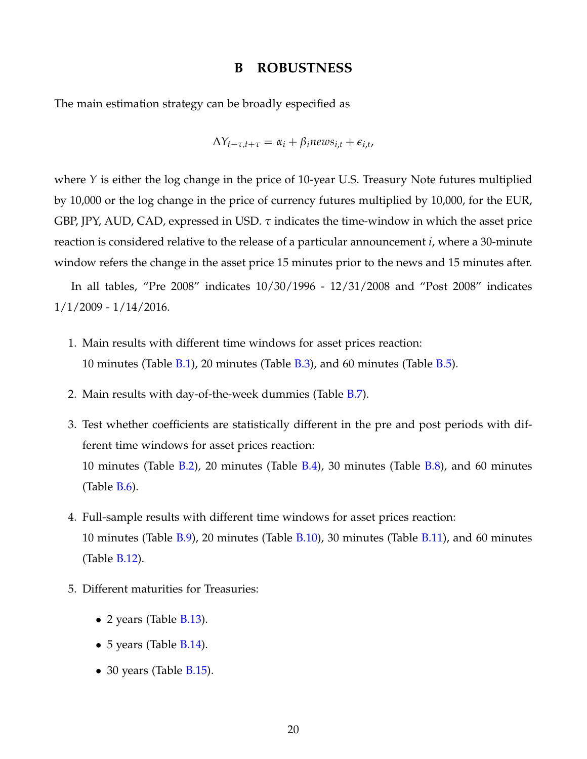#### **B ROBUSTNESS**

The main estimation strategy can be broadly especified as

$$
\Delta Y_{t-\tau,t+\tau} = \alpha_i + \beta_i n e w s_{i,t} + \epsilon_{i,t},
$$

where *Y* is either the log change in the price of 10-year U.S. Treasury Note futures multiplied by 10,000 or the log change in the price of currency futures multiplied by 10,000, for the EUR, GBP, JPY, AUD, CAD, expressed in USD. *τ* indicates the time-window in which the asset price reaction is considered relative to the release of a particular announcement *i*, where a 30-minute window refers the change in the asset price 15 minutes prior to the news and 15 minutes after.

In all tables, "Pre 2008" indicates 10/30/1996 - 12/31/2008 and "Post 2008" indicates 1/1/2009 - 1/14/2016.

- 1. Main results with different time windows for asset prices reaction: 10 minutes (Table  $B.1$ ), 20 minutes (Table  $B.3$ ), and 60 minutes (Table  $B.5$ ).
- 2. Main results with day-of-the-week dummies (Table [B.7\)](#page-23-0).
- 3. Test whether coefficients are statistically different in the pre and post periods with different time windows for asset prices reaction: 10 minutes (Table [B.2\)](#page-20-0), 20 minutes (Table [B.4\)](#page-21-0), 30 minutes (Table [B.8\)](#page-24-0), and 60 minutes (Table [B.6\)](#page-22-0).
- 4. Full-sample results with different time windows for asset prices reaction: 10 minutes (Table [B.9\)](#page-25-0), 20 minutes (Table [B.10\)](#page-26-0), 30 minutes (Table [B.11\)](#page-27-0), and 60 minutes (Table [B.12\)](#page-28-0).
- 5. Different maturities for Treasuries:
	- 2 years (Table [B.13\)](#page-29-0).
	- 5 years (Table [B.14\)](#page-30-0).
	- 30 years (Table  $B.15$ ).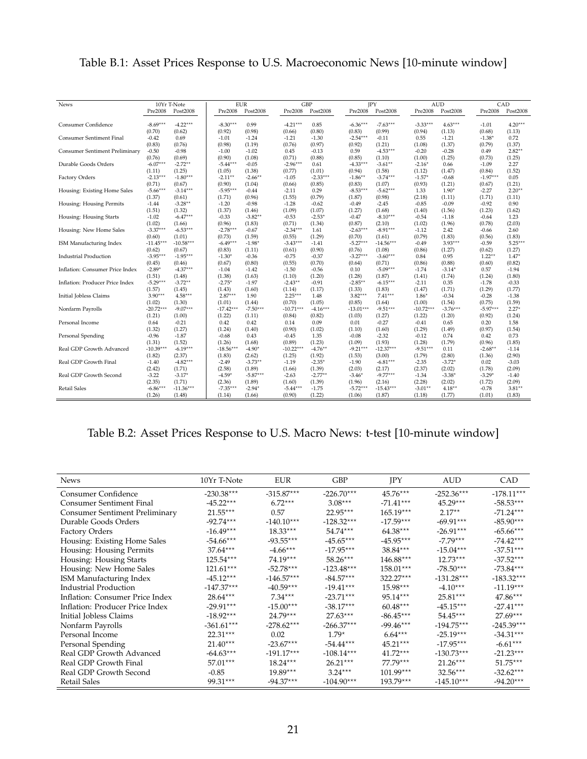<span id="page-20-0"></span>

|  | Table B.1: Asset Prices Response to U.S. Macroeconomic News [10-minute window] |  |
|--|--------------------------------------------------------------------------------|--|
|--|--------------------------------------------------------------------------------|--|

| <b>News</b>                           | 10Yr T-Note           |                       | <b>EUR</b>           |                    |                      | <b>GBP</b>     | <b>IPY</b>           |                       | <b>AUD</b>        |                |                    | CAD                 |
|---------------------------------------|-----------------------|-----------------------|----------------------|--------------------|----------------------|----------------|----------------------|-----------------------|-------------------|----------------|--------------------|---------------------|
|                                       | Pre2008               | Post2008              | Pre2008              | Post2008           | Pre2008              | Post2008       | Pre2008              | Post2008              | Pre2008           | Post2008       | Pre2008            | Post2008            |
|                                       |                       |                       |                      |                    |                      |                |                      |                       |                   |                |                    |                     |
| <b>Consumer Confidence</b>            | $-8.69***$            | $-4.22***$            | $-8.30***$           | 0.99               | $-4.21***$           | 0.85           | $-6.36***$           | $-7.63***$            | $-3.33***$        | $4.63***$      | $-1.01$            | $4.20***$           |
|                                       | (0.70)                | (0.62)                | (0.92)               | (0.98)             | (0.66)               | (0.80)         | (0.83)               | (0.99)                | (0.94)            | (1.13)         | (0.68)             | (1.13)              |
| <b>Consumer Sentiment Final</b>       | $-0.42$               | 0.69                  | $-1.01$              | $-1.24$            | $-1.21$              | $-1.30$        | $-2.54***$           | $-0.11$               | 0.55              | $-1.21$        | $-1.38*$           | 0.72                |
|                                       | (0.83)                | (0.76)                | (0.98)               | (1.19)             | (0.76)               | (0.97)         | (0.92)               | (1.21)                | (1.08)            | (1.37)         | (0.79)             | (1.37)              |
| <b>Consumer Sentiment Preliminary</b> | $-0.50$               | $-0.98$               | $-1.00$              | $-1.02$            | 0.45                 | $-0.13$        | 0.59                 | $-4.53***$            | $-0.20$           | $-0.28$        | 0.49               | $2.82***$           |
|                                       | (0.76)                | (0.69)                | (0.90)               | (1.08)             | (0.71)               | (0.88)         | (0.85)               | (1.10)                | (1.00)            | (1.25)         | (0.73)             | (1.25)              |
| Durable Goods Orders                  | $-6.07***$            | $-2.72**$             | $-5.44***$           | $-0.05$            | $-2.96***$           | 0.61           | $-4.33***$           | $-3.61***$            | $-2.16*$          | 0.66           | $-1.09$            | 2.27                |
|                                       | (1.11)                | (1.25)                | (1.05)               | (1.38)             | (0.77)               | (1.01)         | (0.94)               | (1.58)                | (1.12)            | (1.47)         | (0.84)             | (1.52)              |
| Factory Orders                        | $-2.13***$            | $-1.80***$            | $-2.11***$           | $-2.66***$         | $-1.05$              | $-2.33***$     | $-1.86***$           | $-3.74***$            | $-1.57*$          | $-0.68$        | $-1.97***$         | 0.05                |
|                                       | (0.71)                | (0.67)                | (0.90)               | (1.04)             | (0.66)               | (0.85)         | (0.83)               | (1.07)                | (0.93)            | (1.21)         | (0.67)             | (1.21)              |
| Housing: Existing Home Sales          | $-5.66***$            | $-3.14***$            | $-5.95***$           | $-0.44$            | $-2.11$              | 0.29           | $-8.53***$           | $-5.62***$            | 1.33              | $1.90*$        | $-2.27$            | $2.20***$           |
|                                       | (1.37)                | (0.61)                | (1.71)               | (0.96)             | (1.55)               | (0.79)         | (1.87)               | (0.98)                | (2.18)            | (1.11)         | (1.71)             | (1.11)              |
| Housing: Housing Permits              | $-1.44$               | $-3.28**$             | $-1.20$              | $-0.98$            | $-1.28$              | $-0.62$        | $-0.49$              | $-2.45$               | $-0.85$           | $-0.09$        | $-0.92$            | 0.90                |
|                                       | (1.51)                | (1.32)                | (1.37)               | (1.46)             | (1.09)               | (1.07)         | (1.27)               | (1.68)                | (1.40)            | (1.56)         | (1.23)             | (1.62)              |
| Housing: Housing Starts               | $-1.02$               | $-6.47***$            | $-0.33$              | $-3.82**$          | $-0.53$              | $-2.53*$       | $-0.47$              | $-8.10***$            | $-0.54$           | $-1.18$        | $-0.64$            | 1.23                |
|                                       | (1.02)                | (1.66)                | (0.96)               | (1.83)             | (0.71)               | (1.34)         | (0.87)               | (2.10)                | (1.02)            | (1.96)         | (0.78)             | (2.03)              |
| Housing: New Home Sales               | $-3.37***$            | $-6.53***$            | $-2.78***$           | $-0.67$            | $-2.34***$           | 1.61<br>(1.29) | $-2.63***$           | $-8.91***$            | $-1.12$<br>(0.79) | 2.42<br>(1.83) | $-0.66$            | 2.60                |
|                                       | (0.60)<br>$-11.45***$ | (1.01)<br>$-10.58***$ | (0.73)<br>$-6.49***$ | (1.59)<br>$-1.98*$ | (0.55)<br>$-3.43***$ | $-1.41$        | (0.70)<br>$-5.27***$ | (1.61)<br>$-14.56***$ | $-0.49$           | $3.93***$      | (0.56)<br>$-0.59$  | (1.83)<br>$5.25***$ |
| ISM Manufacturing Index               |                       |                       |                      |                    |                      | (0.90)         |                      |                       |                   |                |                    |                     |
| <b>Industrial Production</b>          | (0.62)<br>$-3.95***$  | (0.67)<br>$-1.95***$  | (0.83)<br>$-1.30*$   | (1.11)<br>$-0.36$  | (0.61)<br>$-0.75$    | $-0.37$        | (0.76)<br>$-3.27***$ | (1.08)<br>$-3.60***$  | (0.86)<br>0.84    | (1.27)<br>0.95 | (0.62)<br>$1.22**$ | (1.27)<br>$1.47*$   |
|                                       | (0.45)                | (0.46)                | (0.67)               | (0.80)             | (0.55)               | (0.70)         | (0.64)               | (0.71)                | (0.86)            | (0.88)         | (0.60)             | (0.82)              |
| Inflation: Consumer Price Index       | $-2.89*$              | $-4.37***$            | $-1.04$              | $-1.42$            | $-1.50$              | $-0.56$        | 0.10                 | $-5.09***$            | $-1.74$           | $-3.14*$       | 0.57               | $-1.94$             |
|                                       | (1.51)                | (1.48)                | (1.38)               | (1.63)             | (1.10)               | (1.20)         | (1.28)               | (1.87)                | (1.41)            | (1.74)         | (1.24)             | (1.80)              |
| Inflation: Producer Price Index       | $-5.29***$            | $-3.72**$             | $-2.75*$             | $-1.97$            | $-2.43***$           | $-0.91$        | $-2.85***$           | $-6.15***$            | $-2.11$           | 0.35           | $-1.78$            | $-0.33$             |
|                                       | (1.57)                | (1.45)                | (1.43)               | (1.60)             | (1.14)               | (1.17)         | (1.33)               | (1.83)                | (1.47)            | (1.71)         | (1.29)             | (1.77)              |
| Initial Jobless Claims                | $3.90***$             | $4.58***$             | $2.87***$            | 1.90               | $2.25***$            | 1.48           | $3.82***$            | $7.41***$             | $1.86*$           | $-0.34$        | $-0.28$            | $-1.38$             |
|                                       | (1.02)                | (1.30)                | (1.01)               | (1.44)             | (0.70)               | (1.05)         | (0.85)               | (1.64)                | (1.00)            | (1.54)         | (0.75)             | (1.59)              |
| Nonfarm Payrolls                      | $-20.72***$           | $-9.07***$            | $-17.42***$          | $-7.50***$         | $-10.71***$          | $-4.16***$     | $-13.01***$          | $-9.51***$            | $-10.72***$       | $-3.76***$     | $-5.97***$         | $2.27*$             |
|                                       | (1.21)                | (1.00)                | (1.22)               | (1.11)             | (0.84)               | (0.82)         | (1.03)               | (1.27)                | (1.22)            | (1.20)         | (0.92)             | (1.24)              |
| Personal Income                       | 0.64                  | $-0.21$               | 0.42                 | 0.42               | 0.14                 | 0.09           | 0.01                 | $-0.27$               | $-0.41$           | 0.65           | 0.20               | 1.58                |
|                                       | (1.32)                | (1.27)                | (1.24)               | (1.40)             | (0.90)               | (1.02)         | (1.10)               | (1.60)                | (1.29)            | (1.49)         | (0.97)             | (1.54)              |
| Personal Spending                     | $-0.96$               | $-1.87$               | $-0.68$              | 0.43               | $-0.45$              | 1.35           | $-0.08$              | $-2.32$               | $-0.12$           | 0.74           | 0.42               | 0.73                |
|                                       | (1.31)                | (1.52)                | (1.26)               | (1.68)             | (0.89)               | (1.23)         | (1.09)               | (1.93)                | (1.28)            | (1.79)         | (0.96)             | (1.85)              |
| Real GDP Growth Advanced              | $-10.39***$           | $-6.19***$            | $-18.56***$          | $-4.90*$           | $-10.22***$          | $-4.76***$     | $-9.21***$           | $-12.37***$           | $-9.51***$        | 0.11           | $-2.68***$         | $-1.14$             |
|                                       | (1.82)                | (2.37)                | (1.83)               | (2.62)             | (1.25)               | (1.92)         | (1.53)               | (3.00)                | (1.79)            | (2.80)         | (1.36)             | (2.90)              |
| Real GDP Growth Final                 | $-1.40$               | $-4.82***$            | $-2.49$              | $-3.73**$          | $-1.19$              | $-2.35*$       | $-1.90$              | $-6.81***$            | $-2.35$           | $-3.72*$       | 0.02               | $-3.03$             |
|                                       | (2.42)                | (1.71)                | (2.58)               | (1.89)             | (1.66)               | (1.39)         | (2.03)               | (2.17)                | (2.37)            | (2.02)         | (1.78)             | (2.09)              |
| Real GDP Growth Second                | $-3.22$               | $-3.17*$              | $-4.59*$             | $-5.87***$         | $-2.63$              | $-2.77**$      | $-3.46*$             | $-9.77***$            | $-1.34$           | $-3.38*$       | $-3.29*$           | $-1.40$             |
|                                       | (2.35)                | (1.71)                | (2.36)               | (1.89)             | (1.60)               | (1.39)         | (1.96)               | (2.16)                | (2.28)            | (2.02)         | (1.72)             | (2.09)              |
| <b>Retail Sales</b>                   | $-6.86***$            | $-11.36***$           | $-7.35***$           | $-2.94*$           | $-5.44***$           | $-1.75$        | $-5.72***$           | $-15.43***$           | $-3.01**$         | $4.18***$      | $-0.78$            | $3.81**$            |
|                                       | (1.26)                | (1.48)                | (1.14)               | (1.66)             | (0.90)               | (1.22)         | (1.06)               | (1.87)                | (1.18)            | (1.77)         | (1.01)             | (1.83)              |

# Table B.2: Asset Prices Response to U.S. Macro News: t-test [10-minute window]

| <b>News</b>                           | 10Yr T-Note  | EUR          | <b>GBP</b>   | IPY         | AUD          | CAD.         |
|---------------------------------------|--------------|--------------|--------------|-------------|--------------|--------------|
| Consumer Confidence                   | $-230.38***$ | $-315.87***$ | $-226.70***$ | $45.76***$  | $-252.36***$ | $-178.11***$ |
| Consumer Sentiment Final              | $-45.22***$  | $6.72***$    | $3.08***$    | $-71.41***$ | $45.29***$   | $-58.53***$  |
| <b>Consumer Sentiment Preliminary</b> | $21.55***$   | 0.57         | $22.95***$   | $165.19***$ | $2.17**$     | $-71.24***$  |
| Durable Goods Orders                  | $-92.74***$  | $-140.10***$ | $-128.32***$ | $-17.59***$ | $-69.91***$  | $-85.90***$  |
| <b>Factory Orders</b>                 | $-16.49***$  | $18.33***$   | $54.74***$   | $64.38***$  | $-26.91***$  | $-65.66***$  |
| Housing: Existing Home Sales          | $-54.66***$  | $-93.55***$  | $-45.65***$  | $-45.95***$ | $-7.79***$   | $-74.42***$  |
| Housing: Housing Permits              | $37.64***$   | $-4.66***$   | $-17.95***$  | $38.84***$  | $-15.04***$  | $-37.51***$  |
| Housing: Housing Starts               | $125.54***$  | $74.19***$   | $58.26***$   | $146.88***$ | $12.73***$   | $-37.52***$  |
| Housing: New Home Sales               | $121.61***$  | $-52.78***$  | $-123.48***$ | $158.01***$ | $-78.50***$  | $-73.84***$  |
| ISM Manufacturing Index               | $-45.12***$  | $-146.57***$ | $-84.57***$  | $322.27***$ | $-131.28***$ | $-183.32***$ |
| Industrial Production                 | $-147.37***$ | $-40.59***$  | $-19.41***$  | $15.98***$  | $-4.10***$   | $-11.19***$  |
| Inflation: Consumer Price Index       | $28.64***$   | $7.34***$    | $-23.71***$  | $95.14***$  | $25.81***$   | $47.86***$   |
| Inflation: Producer Price Index       | $-29.91***$  | $-15.00***$  | $-38.17***$  | $60.48***$  | $-45.15***$  | $-27.41***$  |
| Initial Jobless Claims                | $-18.92***$  | $24.79***$   | $27.63***$   | $-86.45***$ | $54.45***$   | $27.69***$   |
| Nonfarm Payrolls                      | $-361.61***$ | $-278.62***$ | $-266.37***$ | $-99.46***$ | $-194.75***$ | $-245.39***$ |
| Personal Income                       | $22.31***$   | 0.02         | $1.79*$      | $6.64***$   | $-25.19***$  | $-34.31***$  |
| Personal Spending                     | $21.40***$   | $-23.67***$  | $-54.44***$  | $45.21***$  | $-17.95***$  | $-6.61***$   |
| Real GDP Growth Advanced              | $-64.63***$  | $-191.17***$ | $-108.14***$ | $41.72***$  | $-130.73***$ | $-21.23***$  |
| Real GDP Growth Final                 | $57.01***$   | $18.24***$   | $26.21***$   | $77.79***$  | $21.26***$   | $51.75***$   |
| Real GDP Growth Second                | $-0.85$      | $19.89***$   | $3.24***$    | $101.99***$ | $32.56***$   | $-32.62***$  |
| Retail Sales                          | $99.31***$   | $-94.37***$  | $-104.90***$ | $193.79***$ | $-145.10***$ | $-94.20***$  |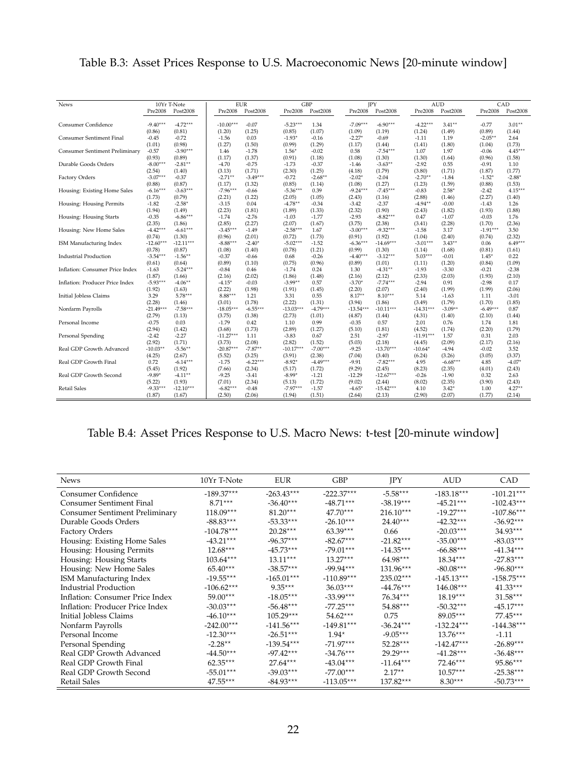<span id="page-21-0"></span>

| Table B.3: Asset Prices Response to U.S. Macroeconomic News [20-minute window] |  |  |  |  |
|--------------------------------------------------------------------------------|--|--|--|--|
|--------------------------------------------------------------------------------|--|--|--|--|

| <b>News</b>                           |             | 10Yr T-Note<br>Post2008 | Pre2008     | <b>EUR</b><br>Post2008 | Pre2008     | <b>GBP</b><br>Post2008 | Pre2008     | JPY<br>Post2008 | Pre2008     | <b>AUD</b><br>Post2008 | Pre2008    | CAD<br>Post2008 |
|---------------------------------------|-------------|-------------------------|-------------|------------------------|-------------|------------------------|-------------|-----------------|-------------|------------------------|------------|-----------------|
|                                       | Pre2008     |                         |             |                        |             |                        |             |                 |             |                        |            |                 |
| Consumer Confidence                   | $-9.40***$  | $-4.72***$              | $-10.00***$ | $-0.07$                | $-5.23***$  | 1.34                   | $-7.09***$  | $-6.90***$      | $-4.22***$  | $3.41**$               | $-0.77$    | $3.01***$       |
|                                       | (0.86)      | (0.81)                  | (1.20)      | (1.25)                 | (0.85)      | (1.07)                 | (1.09)      | (1.19)          | (1.24)      | (1.49)                 | (0.89)     | (1.44)          |
| <b>Consumer Sentiment Final</b>       | $-0.45$     | $-0.72$                 | $-1.56$     | 0.03                   | $-1.93*$    | $-0.16$                | $-2.27*$    | $-0.69$         | $-1.11$     | 1.19                   | $-2.05***$ | 2.64            |
|                                       | (1.01)      | (0.98)                  | (1.27)      | (1.50)                 | (0.99)      | (1.29)                 | (1.17)      | (1.44)          | (1.41)      | (1.80)                 | (1.04)     | (1.73)          |
| <b>Consumer Sentiment Preliminary</b> | $-0.57$     | $-3.90***$              | 1.46        | $-1.78$                | $1.56*$     | $-0.02$                | 0.58        | $-7.54***$      | 1.07        | 1.97                   | $-0.06$    | $4.45***$       |
|                                       | (0.93)      | (0.89)                  | (1.17)      | (1.37)                 | (0.91)      | (1.18)                 | (1.08)      | (1.30)          | (1.30)      | (1.64)                 | (0.96)     | (1.58)          |
| Durable Goods Orders                  | $-8.00***$  | $-2.81**$               | $-4.70$     | $-0.75$                | $-1.73$     | $-0.37$                | $-1.46$     | $-3.63**$       | $-2.92$     | 0.55                   | $-0.91$    | 1.10            |
|                                       | (2.54)      | (1.40)                  | (3.13)      | (1.71)                 | (2.30)      | (1.25)                 | (4.18)      | (1.79)          | (3.80)      | (1.71)                 | (1.87)     | (1.77)          |
| Factory Orders                        | $-3.07***$  | $-0.37$                 | $-2.71***$  | $-3.49***$             | $-0.72$     | $-2.68**$              | $-2.02*$    | $-2.04$         | $-2.70**$   | $-1.84$                | $-1.52*$   | $-2.88*$        |
|                                       | (0.88)      | (0.87)                  | (1.17)      | (1.32)                 | (0.85)      | (1.14)                 | (1.08)      | (1.27)          | (1.23)      | (1.59)                 | (0.88)     | (1.53)          |
| Housing: Existing Home Sales          | $-6.16***$  | $-3.63***$              | $-7.96***$  | $-0.66$                | $-5.36***$  | 0.39                   | $-9.24***$  | $-7.45***$      | $-0.83$     | $2.58*$                | $-2.42$    | $4.15***$       |
|                                       | (1.73)      | (0.79)                  | (2.21)      | (1.22)                 | (2.05)      | (1.05)                 | (2.43)      | (1.16)          | (2.88)      | (1.46)                 | (2.27)     | (1.40)          |
| Housing: Housing Permits              | $-1.82$     | $-2.58*$                | $-3.15$     | 0.04                   | $-4.78**$   | $-0.34$                | $-3.42$     | $-2.37$         | $-4.94***$  | $-0.00$                | $-1.43$    | 1.26            |
|                                       | (1.94)      | (1.49)                  | (2.23)      | (1.81)                 | (1.89)      | (1.33)                 | (2.32)      | (1.90)          | (2.43)      | (1.82)                 | (1.93)     | (1.88)          |
| Housing: Housing Starts               | $-0.35$     | $-6.86***$              | $-1.74$     | $-2.76$                | $-1.03$     | $-1.77$                | $-2.93$     | $-8.82***$      | 0.47        | $-1.07$                | $-0.03$    | 1.76            |
|                                       | (2.35)      | (1.86)                  | (2.85)      | (2.27)                 | (2.07)      | (1.67)                 | (3.75)      | (2.38)          | (3.41)      | (2.28)                 | (1.70)     | (2.36)          |
| Housing: New Home Sales               | $-4.42***$  | $-6.61***$              | $-3.45***$  | $-1.49$                | $-2.58***$  | 1.67                   | $-3.00***$  | $-9.32***$      | $-1.58$     | 3.17                   | $-1.91***$ | 3.50            |
|                                       | (0.74)      | (1.30)                  | (0.96)      | (2.01)                 | (0.72)      | (1.73)                 | (0.91)      | (1.92)          | (1.04)      | (2.40)                 | (0.74)     | (2.32)          |
| ISM Manufacturing Index               | $-12.60***$ | $-12.11***$             | $-8.88***$  | $-2.40*$               | $-5.02***$  | $-1.52$                | $-6.36***$  | $-14.69***$     | $-3.01***$  | $3.43**$               | 0.06       | $6.49***$       |
|                                       | (0.78)      | (0.87)                  | (1.08)      | (1.40)                 | (0.78)      | (1.21)                 | (0.99)      | (1.30)          | (1.14)      | (1.68)                 | (0.81)     | (1.61)          |
| <b>Industrial Production</b>          | $-3.54***$  | $-1.56***$              | $-0.37$     | $-0.66$                | 0.68        | $-0.26$                | $-4.40***$  | $-3.12***$      | $5.03***$   | $-0.01$                | $1.45*$    | 0.22            |
|                                       | (0.61)      | (0.64)                  | (0.89)      | (1.10)                 | (0.75)      | (0.96)                 | (0.89)      | (1.01)          | (1.11)      | (1.20)                 | (0.84)     | (1.09)          |
| Inflation: Consumer Price Index       | $-1.63$     | $-5.24***$              | $-0.84$     | 0.46                   | $-1.74$     | 0.24                   | 1.30        | $-4.31***$      | $-1.93$     | $-3.30$                | $-0.21$    | $-2.38$         |
|                                       | (1.87)      | (1.66)                  | (2.16)      | (2.02)                 | (1.86)      | (1.48)                 | (2.16)      | (2.12)          | (2.33)      | (2.03)                 | (1.93)     | (2.10)          |
| Inflation: Producer Price Index       | $-5.93***$  | $-4.06***$              | $-4.15*$    | $-0.03$                | $-3.99**$   | 0.57                   | $-3.70*$    | $-7.74***$      | $-2.94$     | 0.91                   | $-2.98$    | 0.17            |
|                                       | (1.92)      | (1.63)                  | (2.22)      | (1.98)                 | (1.91)      | (1.45)                 | (2.20)      | (2.07)          | (2.40)      | (1.99)                 | (1.99)     | (2.06)          |
| Initial Jobless Claims                | 3.29        | $5.78***$               | $8.88***$   | 1.21                   | 3.31        | 0.55                   | $8.17**$    | $8.10***$       | 5.14        | $-1.63$                | 1.11       | $-3.01$         |
|                                       | (2.28)      | (1.46)                  | (3.01)      | (1.78)                 | (2.22)      | (1.31)                 | (3.94)      | (1.86)          | (3.49)      | (1.79)                 | (1.70)     | (1.85)          |
| Nonfarm Payrolls                      | $-21.49***$ | $-7.58***$              | $-18.05***$ | $-6.55***$             | $-13.03***$ | $-4.79***$             | $-13.54***$ | $-10.11***$     | $-14.31***$ | $-3.09**$              | $-6.49***$ | 0.87            |
|                                       | (2.79)      | (1.13)                  | (3.75)      | (1.38)                 | (2.73)      | (1.01)                 | (4.87)      | (1.44)          | (4.31)      | (1.40)                 | (2.10)     | (1.44)          |
| Personal Income                       | $-0.75$     | 0.03                    | $-1.79$     | 0.42                   | 1.10        | 0.99                   | $-0.35$     | 0.57            | 2.01        | 0.76                   | 1.74       | 1.81            |
|                                       | (2.94)      | (1.42)                  | (3.68)      | (1.73)                 | (2.89)      | (1.27)                 | (5.10)      | (1.81)          | (4.52)      | (1.74)                 | (2.20)     | (1.79)          |
| Personal Spending                     | $-2.42$     | $-2.27$                 | $-11.27***$ | 1.11                   | $-3.83$     | 0.67                   | 2.51        | $-2.97$         | $-11.91***$ | 1.57                   | 0.31       | 2.03            |
|                                       | (2.92)      | (1.71)                  | (3.73)      | (2.08)                 | (2.82)      | (1.52)                 | (5.03)      | (2.18)          | (4.45)      | (2.09)                 | (2.17)     | (2.16)          |
| Real GDP Growth Advanced              | $-10.03**$  | $-5.56***$              | $-20.87***$ | $-7.87**$              | $-10.17***$ | $-7.00***$             | $-9.25$     | $-13.70***$     | $-10.64*$   | $-4.94$                | $-0.02$    | 3.52            |
|                                       | (4.25)      | (2.67)                  | (5.52)      | (3.25)                 | (3.91)      | (2.38)                 | (7.04)      | (3.40)          | (6.24)      | (3.26)                 | (3.05)     | (3.37)          |
| Real GDP Growth Final                 | 0.72        | $-6.14***$              | $-1.75$     | $-6.22***$             | $-8.92*$    | $-4.49***$             | $-9.91$     | $-7.82***$      | 4.95        | $-6.68***$             | 4.85       | $-4.07*$        |
|                                       | (5.45)      | (1.92)                  | (7.66)      | (2.34)                 | (5.17)      | (1.72)                 | (9.29)      | (2.45)          | (8.23)      | (2.35)                 | (4.01)     | (2.43)          |
| Real GDP Growth Second                | $-9.89*$    | $-4.11***$              | $-9.25$     | $-3.41$                | $-8.99*$    | $-1.21$                | $-12.29$    | $-12.67***$     | $-0.26$     | $-1.90$                | 0.32       | 2.63            |
|                                       | (5.22)      | (1.93)                  | (7.01)      | (2.34)                 | (5.13)      | (1.72)                 | (9.02)      | (2.44)          | (8.02)      | (2.35)                 | (3.90)     | (2.43)          |
| <b>Retail Sales</b>                   | $-9.33***$  | $-12.10***$             | $-6.82***$  | $-0.48$                | $-7.97***$  | $-1.57$                | $-4.65*$    | $-15.42***$     | 4.10        | $3.42*$                | 1.00       | $4.27**$        |
|                                       | (1.87)      | (1.67)                  | (2.50)      | (2.06)                 | (1.94)      | (1.51)                 | (2.64)      | (2.13)          | (2.90)      | (2.07)                 | (1.77)     | (2.14)          |

## Table B.4: Asset Prices Response to U.S. Macro News: t-test [20-minute window]

| <b>News</b>                           | 10Yr T-Note  | <b>EUR</b>   | GBP          | <b>IPY</b>  | AUD          | CAD          |
|---------------------------------------|--------------|--------------|--------------|-------------|--------------|--------------|
| Consumer Confidence                   | $-189.37***$ | $-263.43***$ | $-222.37***$ | $-5.58***$  | $-183.18***$ | $-101.21***$ |
| Consumer Sentiment Final              | $8.71***$    | $-36.40***$  | $-48.71***$  | $-38.19***$ | $-45.21***$  | $-102.43***$ |
| <b>Consumer Sentiment Preliminary</b> | $118.09***$  | $81.20***$   | $47.70***$   | $216.10***$ | $-19.27***$  | $-107.86***$ |
| Durable Goods Orders                  | $-88.83***$  | $-53.33***$  | $-26.10***$  | $24.40***$  | $-42.32***$  | $-36.92***$  |
| <b>Factory Orders</b>                 | $-104.78***$ | $20.28***$   | $63.39***$   | 0.66        | $-20.03***$  | $34.93***$   |
| Housing: Existing Home Sales          | $-43.21***$  | $-96.37***$  | $-82.67***$  | $-21.82***$ | $-35.00***$  | $-83.03***$  |
| Housing: Housing Permits              | $12.68***$   | $-45.73***$  | $-79.01***$  | $-14.35***$ | $-66.88***$  | $-41.34***$  |
| Housing: Housing Starts               | $103.64***$  | $13.11***$   | $13.27***$   | $64.98***$  | $18.34***$   | $-27.83***$  |
| Housing: New Home Sales               | $65.40***$   | $-38.57***$  | $-99.94***$  | $131.96***$ | $-80.08***$  | $-96.80***$  |
| ISM Manufacturing Index               | $-19.55***$  | $-165.01***$ | $-110.89***$ | $235.02***$ | $-145.13***$ | $-158.75***$ |
| Industrial Production                 | $-106.62***$ | $9.35***$    | $36.03***$   | $-44.76***$ | $146.08***$  | $41.33***$   |
| Inflation: Consumer Price Index       | $59.00***$   | $-18.05***$  | $-33.99***$  | $76.34***$  | $18.19***$   | $31.58***$   |
| Inflation: Producer Price Index       | $-30.03***$  | $-56.48***$  | $-77.25***$  | $54.88***$  | $-50.32***$  | $-45.17***$  |
| Initial Jobless Claims                | $-46.10***$  | $105.29***$  | $54.62***$   | 0.75        | $89.05***$   | $77.45***$   |
| Nonfarm Payrolls                      | $-242.00***$ | $-141.56***$ | $-149.81***$ | $-36.24***$ | $-132.24***$ | $-144.38***$ |
| Personal Income                       | $-12.30***$  | $-26.51***$  | $1.94*$      | $-9.05***$  | $13.76***$   | $-1.11$      |
| Personal Spending                     | $-2.28**$    | $-139.54***$ | $-71.97***$  | $52.28***$  | $-142.47***$ | $-26.89***$  |
| Real GDP Growth Advanced              | $-44.50***$  | $-97.42***$  | $-34.76***$  | $29.29***$  | $-41.28***$  | $-36.48***$  |
| Real GDP Growth Final                 | $62.35***$   | $27.64***$   | $-43.04***$  | $-11.64***$ | $72.46***$   | $95.86***$   |
| Real GDP Growth Second                | $-55.01***$  | $-39.03***$  | $-77.00***$  | $2.17**$    | $10.57***$   | $-25.38***$  |
| Retail Sales                          | $47.55***$   | $-84.93***$  | $-113.05***$ | $137.82***$ | $8.30***$    | $-50.73***$  |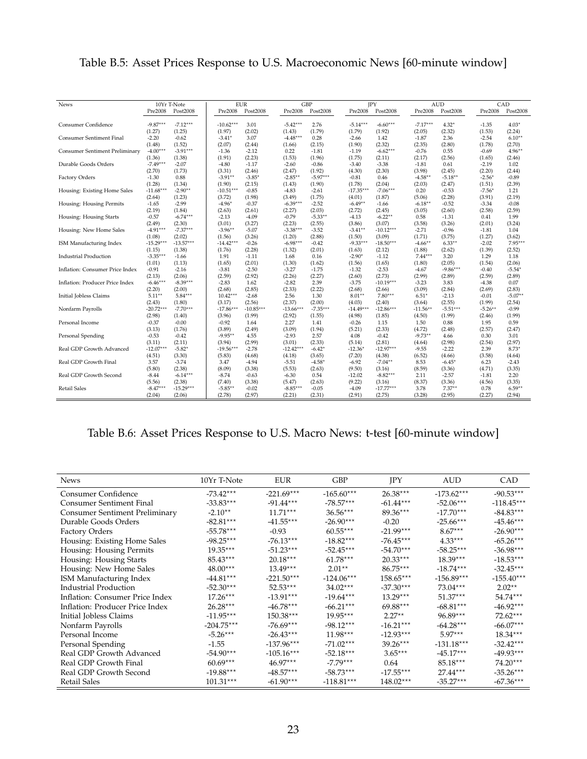| <b>News</b>                           | 10Yr T-Note          |                      | <b>EUR</b>  |             |             | <b>GBP</b> | <b>JPY</b>  |                       |             | <b>AUD</b> |            | CAD       |
|---------------------------------------|----------------------|----------------------|-------------|-------------|-------------|------------|-------------|-----------------------|-------------|------------|------------|-----------|
|                                       | Pre2008              | Post2008             | Pre2008     | Post2008    | Pre2008     | Post2008   | Pre2008     | Post2008              | Pre2008     | Post2008   | Pre2008    | Post2008  |
| <b>Consumer Confidence</b>            | $-9.87***$           | $-7.12***$           | $-10.62***$ | 3.01        | $-5.42***$  | 2.76       | $-5.14***$  | $-6.60***$            | $-7.17***$  | $4.32*$    | $-1.35$    | $4.03*$   |
|                                       | (1.27)               | (1.25)               | (1.97)      | (2.02)      | (1.43)      | (1.79)     | (1.79)      | (1.92)                | (2.05)      | (2.32)     | (1.53)     | (2.24)    |
| <b>Consumer Sentiment Final</b>       | $-2.20$              | $-0.62$              | $-3.41*$    | 3.07        | $-4.48***$  | 0.28       | $-2.66$     | 1.42                  | $-1.87$     | 2.36       | $-2.54$    | $6.10**$  |
|                                       | (1.48)               | (1.52)               | (2.07)      | (2.44)      | (1.66)      | (2.15)     | (1.90)      | (2.32)                | (2.35)      | (2.80)     | (1.78)     | (2.70)    |
| <b>Consumer Sentiment Preliminary</b> | $-4.00***$           | $-3.91***$           | $-1.36$     | $-2.12$     | 0.22        | $-1.81$    | $-1.19$     | $-6.62***$            | $-0.76$     | 0.55       | $-0.69$    | $4.96***$ |
|                                       | (1.36)               | (1.38)               | (1.91)      | (2.23)      | (1.53)      | (1.96)     | (1.75)      | (2.11)                | (2.17)      | (2.56)     | (1.65)     | (2.46)    |
| Durable Goods Orders                  | $-7.49***$           | $-2.07$              | $-4.80$     | $-1.17$     | $-2.60$     | $-0.86$    | $-3.40$     | $-3.38$               | $-1.81$     | 0.61       | $-2.19$    | 1.02      |
|                                       | (2.70)               | (1.73)               | (3.31)      | (2.46)      | (2.47)      | (1.92)     | (4.30)      | (2.30)                | (3.98)      | (2.45)     | (2.20)     | (2.44)    |
| Factory Orders                        | $-1.30$              | 0.88                 | $-3.91**$   | $-3.85*$    | $-2.85**$   | $-5.97***$ | $-0.81$     | 0.46                  | $-4.58**$   | $-5.18***$ | $-2.56*$   | $-0.89$   |
|                                       | (1.28)               | (1.34)               | (1.90)      | (2.15)      | (1.43)      | (1.90)     | (1.78)      | (2.04)                | (2.03)      | (2.47)     | (1.51)     | (2.39)    |
| Housing: Existing Home Sales          | $-11.68***$          | $-2.90**$            | $-10.51***$ | $-0.85$     | $-4.83$     | $-2.61$    | $-17.35***$ | $-7.06***$            | 0.20        | $-0.53$    | $-7.56*$   | 1.21      |
|                                       | (2.64)               | (1.23)               | (3.72)      | (1.98)      | (3.49)      | (1.75)     | (4.01)      | (1.87)                | (5.06)      | (2.28)     | (3.91)     | (2.19)    |
| Housing: Housing Permits              | $-1.65$              | $-2.99$              | $-4.96*$    | $-0.37$     | $-6.39***$  | $-2.52$    | $-6.49**$   | $-1.66$               | $-6.18***$  | $-0.52$    | $-3.34$    | $-0.08$   |
|                                       | (2.19)               | (1.84)               | (2.63)      | (2.61)      | (2.27)      | (2.03)     | (2.72)      | (2.45)                | (3.05)      | (2.60)     | (2.58)     | (2.59)    |
| Housing: Housing Starts               | $-0.57$              | $-6.74***$           | $-2.13$     | $-4.09$     | $-0.79$     | $-5.33***$ | $-4.13$     | $-6.22***$            | 0.58        | $-1.31$    | 0.41       | 1.99      |
|                                       | (2.49)               | (2.30)               | (3.01)      | (3.27)      | (2.23)      | (2.55)     | (3.86)      | (3.07)                | (3.58)      | (3.26)     | (2.01)     | (3.24)    |
| Housing: New Home Sales               | $-4.91***$           | $-7.37***$           | $-3.96**$   | $-5.07$     | $-3.38***$  | $-3.52$    | $-3.41**$   | $-10.12***$           | $-2.71$     | $-0.96$    | $-1.81$    | 1.04      |
|                                       | (1.08)               | (2.02)               | (1.56)      | (3.26)      | (1.20)      | (2.88)     | (1.50)      | (3.09)                | (1.71)      | (3.75)     | (1.27)     | (3.62)    |
| ISM Manufacturing Index               | $-15.29***$          | $-13.57***$          | $-14.42***$ | $-0.26$     | $-6.98***$  | $-0.42$    | $-9.33***$  | $-18.50***$           | $-4.66***$  | $6.33**$   | $-2.02$    | $7.95***$ |
|                                       | (1.15)               | (1.38)               | (1.76)      | (2.28)      | (1.32)      | (2.01)     | (1.63)      | (2.12)                | (1.88)      | (2.62)     | (1.39)     | (2.52)    |
| <b>Industrial Production</b>          | $-3.35***$           | $-1.66$              | 1.91        | $-1.11$     | 1.68        | 0.16       | $-2.90*$    | $-1.12$               | $7.44***$   | 3.20       | 1.29       | 1.18      |
|                                       | (1.01)               | (1.13)               | (1.65)      | (2.01)      | (1.30)      | (1.62)     | (1.56)      | (1.65)                | (1.80)      | (2.05)     | (1.54)     | (2.06)    |
| Inflation: Consumer Price Index       | $-0.91$              | $-2.16$              |             | $-2.50$     | $-3.27$     | $-1.75$    | $-1.32$     | $-2.53$               | $-4.67$     | $-9.86***$ | $-0.40$    | $-5.54*$  |
|                                       |                      |                      | $-3.81$     |             |             |            |             |                       |             |            |            |           |
| Inflation: Producer Price Index       | (2.13)<br>$-6.46***$ | (2.06)<br>$-8.39***$ | (2.59)      | (2.92)      | (2.26)      | (2.27)     | (2.60)      | (2.73)<br>$-10.19***$ | (2.99)      | (2.89)     | (2.59)     | (2.89)    |
|                                       |                      |                      | $-2.83$     | 1.62        | $-2.82$     | 2.39       | $-3.75$     |                       | $-3.23$     | 3.83       | $-4.38$    | 0.07      |
|                                       | (2.20)               | (2.00)               | (2.68)      | (2.85)      | (2.33)      | (2.22)     | (2.68)      | (2.66)                | (3.09)      | (2.84)     | (2.69)     | (2.83)    |
| Initial Jobless Claims                | $5.11***$            | $5.84***$            | $10.42***$  | $-2.68$     | 2.56        | 1.30       | $8.01**$    | $7.80***$             | $6.51*$     | $-2.13$    | $-0.01$    | $-5.07**$ |
|                                       | (2.43)               | (1.80)               | (3.17)      | (2.56)      | (2.37)      | (2.00)     | (4.03)      | (2.40)                | (3.64)      | (2.55)     | (1.99)     | (2.54)    |
| Nonfarm Payrolls                      | $-20.72***$          | $-7.70***$           | $-17.86***$ | $-10.85***$ | $-13.66***$ | $-7.35***$ | $-14.49***$ | $-12.86***$           | $-11.56***$ | $-5.51***$ | $-5.26***$ | $-0.99$   |
|                                       | (2.98)               | (1.40)               | (3.96)      | (1.99)      | (2.92)      | (1.55)     | (4.98)      | (1.85)                | (4.50)      | (1.99)     | (2.46)     | (1.99)    |
| Personal Income                       | $-0.37$              | $-0.00$              | $-0.92$     | 1.64        | 2.27        | 1.41       | $-0.26$     | 1.15                  | 1.50        | 0.88       | 1.95       | 0.59      |
|                                       | (3.13)               | (1.76)               | (3.89)      | (2.49)      | (3.09)      | (1.94)     | (5.21)      | (2.33)                | (4.72)      | (2.48)     | (2.57)     | (2.47)    |
| Personal Spending                     | $-0.53$              | $-0.42$              | $-9.95***$  | 4.55        | $-2.93$     | 2.57       | 4.08        | $-0.42$               | $-9.73**$   | 4.66       | 0.30       | 3.01      |
|                                       | (3.11)               | (2.11)               | (3.94)      | (2.99)      | (3.01)      | (2.33)     | (5.14)      | (2.81)                | (4.64)      | (2.98)     | (2.54)     | (2.97)    |
| Real GDP Growth Advanced              | $-12.07***$          | $-5.82*$             | $-19.56***$ | $-2.78$     | $-12.42***$ | $-6.42*$   | $-12.36*$   | $-12.97***$           | $-9.55$     | $-2.22$    | 2.39       | $8.73*$   |
|                                       | (4.51)               | (3.30)               | (5.83)      | (4.68)      | (4.18)      | (3.65)     | (7.20)      | (4.38)                | (6.52)      | (4.66)     | (3.58)     | (4.64)    |
| Real GDP Growth Final                 | 3.57                 | $-3.74$              | 3.47        | $-4.94$     | $-5.51$     | $-4.58*$   | $-6.92$     | $-7.04***$            | 8.53        | $-6.45*$   | 6.23       | $-2.43$   |
|                                       | (5.80)               | (2.38)               | (8.09)      | (3.38)      | (5.53)      | (2.63)     | (9.50)      | (3.16)                | (8.59)      | (3.36)     | (4.71)     | (3.35)    |
| Real GDP Growth Second                | $-8.44$              | $-6.14***$           | $-8.74$     | $-0.63$     | $-6.30$     | 0.54       | $-12.02$    | $-8.82***$            | 2.11        | $-2.57$    | $-1.81$    | 2.20      |
|                                       | (5.56)               | (2.38)               | (7.40)      | (3.38)      | (5.47)      | (2.63)     | (9.22)      | (3.16)                | (8.37)      | (3.36)     | (4.56)     | (3.35)    |
| <b>Retail Sales</b>                   | $-8.47***$           | $-15.29***$          | $-5.85**$   | $-0.02$     | $-8.85***$  | $-0.05$    | $-4.09$     | $-17.77***$           | 3.78        | $7.37**$   | 0.78       | $6.59***$ |
|                                       | (2.04)               | (2.06)               | (2.78)      | (2.97)      | (2.21)      | (2.31)     | (2.91)      | (2.75)                | (3.28)      | (2.95)     | (2.27)     | (2.94)    |

### <span id="page-22-0"></span>Table B.5: Asset Prices Response to U.S. Macroeconomic News [60-minute window]

### Table B.6: Asset Prices Response to U.S. Macro News: t-test [60-minute window]

| <b>News</b>                           | 10Yr T-Note  | <b>EUR</b>   | <b>GBP</b>   | <b>IPY</b>  | AUD          | CAD          |
|---------------------------------------|--------------|--------------|--------------|-------------|--------------|--------------|
| Consumer Confidence                   | $-73.42***$  | $-221.69***$ | $-165.60***$ | $26.38***$  | $-173.62***$ | $-90.53***$  |
| Consumer Sentiment Final              | $-33.83***$  | $-91.44***$  | $-78.57***$  | $-61.44***$ | $-52.06***$  | $-118.45***$ |
| <b>Consumer Sentiment Preliminary</b> | $-2.10**$    | $11.71***$   | $36.56***$   | $89.36***$  | $-17.70***$  | $-84.83***$  |
| Durable Goods Orders                  | $-82.81***$  | $-41.55***$  | $-26.90***$  | $-0.20$     | $-25.66***$  | $-45.46***$  |
| Factory Orders                        | $-55.78***$  | $-0.93$      | $60.55***$   | $-21.99***$ | $8.67***$    | $-26.90***$  |
| Housing: Existing Home Sales          | $-98.25***$  | $-76.13***$  | $-18.82***$  | $-76.45***$ | $4.33***$    | $-65.26***$  |
| Housing: Housing Permits              | $19.35***$   | $-51.23***$  | $-52.45***$  | $-54.70***$ | $-58.25***$  | $-36.98***$  |
| Housing: Housing Starts               | $85.43***$   | $20.18***$   | $61.78***$   | $20.33***$  | $18.39***$   | $-18.53***$  |
| Housing: New Home Sales               | $48.00***$   | $13.49***$   | $2.01**$     | $86.75***$  | $-18.74***$  | $-32.45***$  |
| ISM Manufacturing Index               | $-44.81***$  | $-221.50***$ | $-124.06***$ | $158.65***$ | $-156.89***$ | $-155.40***$ |
| Industrial Production                 | $-52.30***$  | $52.53***$   | $34.02***$   | $-37.30***$ | $73.04***$   | $2.02**$     |
| Inflation: Consumer Price Index       | $17.26***$   | $-13.91***$  | $-19.64***$  | $13.29***$  | $51.37***$   | $54.74***$   |
| Inflation: Producer Price Index       | $26.28***$   | $-46.78***$  | $-66.21***$  | $69.88***$  | $-68.81***$  | $-46.92***$  |
| Initial Jobless Claims                | $-11.95***$  | $150.38***$  | $19.95***$   | $2.27**$    | $96.89***$   | $72.62***$   |
| Nonfarm Payrolls                      | $-204.75***$ | $-76.69***$  | $-98.12***$  | $-16.21***$ | $-64.28***$  | $-66.07***$  |
| Personal Income                       | $-5.26***$   | $-26.43***$  | $11.98***$   | $-12.93***$ | $5.97***$    | $18.34***$   |
| Personal Spending                     | $-1.55$      | $-137.96***$ | $-71.02***$  | $39.26***$  | $-131.18***$ | $-32.42***$  |
| Real GDP Growth Advanced              | $-54.90***$  | $-105.16***$ | $-52.18***$  | $3.65***$   | $-45.17***$  | $-49.93***$  |
| Real GDP Growth Final                 | $60.69***$   | $46.97***$   | $-7.79***$   | 0.64        | $85.18***$   | $74.20***$   |
| Real GDP Growth Second                | $-19.88***$  | $-48.57***$  | $-58.73***$  | $-17.55***$ | $27.44***$   | $-35.26***$  |
| Retail Sales                          | $101.31***$  | $-61.90***$  | $-118.81***$ | $148.02***$ | $-35.27***$  | $-67.36***$  |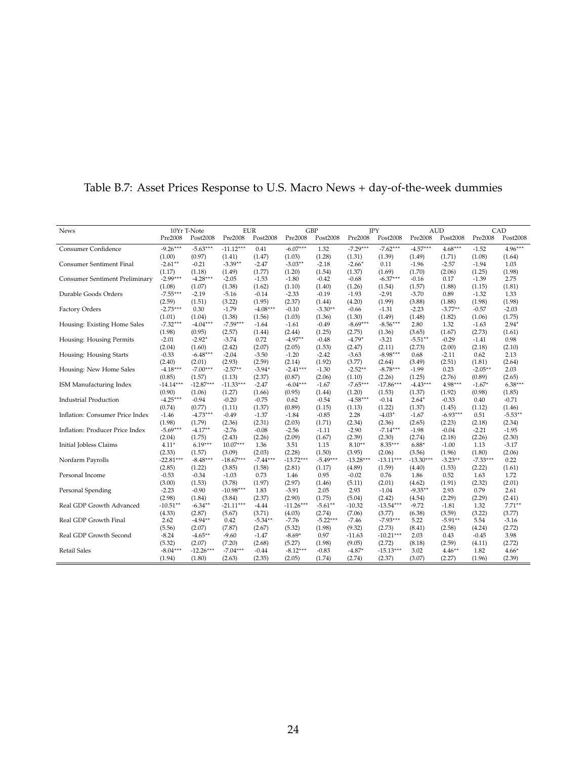| <b>News</b>                           |             | 10Yr T-Note |             | <b>EUR</b> |             | <b>GBP</b> | JPY         |             |             | <b>AUD</b> |            | CAD       |
|---------------------------------------|-------------|-------------|-------------|------------|-------------|------------|-------------|-------------|-------------|------------|------------|-----------|
|                                       | Pre2008     | Post2008    | Pre2008     | Post2008   | Pre2008     | Post2008   | Pre2008     | Post2008    | Pre2008     | Post2008   | Pre2008    | Post2008  |
| Consumer Confidence                   | $-9.26***$  | $-5.63***$  | $-11.12***$ | 0.41       | $-6.07***$  | 1.32       | $-7.29***$  | $-7.62***$  | $-4.57***$  | $4.68***$  | $-1.52$    | $4.96***$ |
|                                       | (1.00)      | (0.97)      | (1.41)      | (1.47)     | (1.03)      | (1.28)     | (1.31)      | (1.39)      | (1.49)      | (1.71)     | (1.08)     | (1.64)    |
| <b>Consumer Sentiment Final</b>       | $-2.61**$   | $-0.21$     | $-3.39**$   | $-2.47$    | $-3.03***$  | $-2.18$    | $-2.66*$    | 0.11        | $-1.96$     | $-2.57$    | $-1.94$    | 1.03      |
|                                       | (1.17)      | (1.18)      | (1.49)      | (1.77)     | (1.20)      | (1.54)     | (1.37)      | (1.69)      | (1.70)      | (2.06)     | (1.25)     | (1.98)    |
| <b>Consumer Sentiment Preliminary</b> | $-2.99***$  | $-4.28***$  | $-2.05$     | $-1.53$    | $-1.80$     | $-0.42$    | $-0.68$     | $-6.37***$  | $-0.16$     | 0.17       | $-1.39$    | 2.75      |
|                                       | (1.08)      | (1.07)      | (1.38)      | (1.62)     | (1.10)      | (1.40)     | (1.26)      | (1.54)      | (1.57)      | (1.88)     | (1.15)     | (1.81)    |
| Durable Goods Orders                  | $-7.55***$  | $-2.19$     | $-5.16$     | $-0.14$    | $-2.33$     | $-0.19$    | $-1.93$     | $-2.91$     | $-3.70$     | 0.89       | $-1.32$    | 1.33      |
|                                       | (2.59)      | (1.51)      | (3.22)      | (1.95)     | (2.37)      | (1.44)     | (4.20)      | (1.99)      | (3.88)      | (1.88)     | (1.98)     | (1.98)    |
| Factory Orders                        | $-2.73***$  | 0.30        | $-1.79$     | $-4.08***$ | $-0.10$     | $-3.30**$  | $-0.66$     | $-1.31$     | $-2.23$     | $-3.77**$  | $-0.57$    | $-2.03$   |
|                                       | (1.01)      | (1.04)      | (1.38)      | (1.56)     | (1.03)      | (1.36)     | (1.30)      | (1.49)      | (1.48)      | (1.82)     | (1.06)     | (1.75)    |
| Housing: Existing Home Sales          | $-7.32***$  | $-4.04***$  | $-7.59***$  | $-1.64$    | $-1.61$     | $-0.49$    | $-8.69***$  | $-8.56***$  | 2.80        | 1.32       | $-1.63$    | $2.94*$   |
|                                       | (1.98)      | (0.95)      | (2.57)      | (1.44)     | (2.44)      | (1.25)     | (2.75)      | (1.36)      | (3.65)      | (1.67)     | (2.73)     | (1.61)    |
| Housing: Housing Permits              | $-2.01$     | $-2.92*$    | $-3.74$     | 0.72       | $-4.97**$   | $-0.48$    | $-4.79*$    | $-3.21$     | $-5.51**$   | $-0.29$    | $-1.41$    | 0.98      |
|                                       | (2.04)      | (1.60)      | (2.42)      | (2.07)     | (2.05)      | (1.53)     | (2.47)      | (2.11)      | (2.73)      | (2.00)     | (2.18)     | (2.10)    |
| Housing: Housing Starts               | $-0.33$     | $-6.48***$  | $-2.04$     | $-3.50$    | $-1.20$     | $-2.42$    | $-3.63$     | $-8.98***$  | 0.68        | $-2.11$    | 0.62       | 2.13      |
|                                       | (2.40)      | (2.01)      | (2.93)      | (2.59)     | (2.14)      | (1.92)     | (3.77)      | (2.64)      | (3.49)      | (2.51)     | (1.81)     | (2.64)    |
| Housing: New Home Sales               | $-4.18***$  | $-7.00***$  | $-2.57**$   | $-3.94*$   | $-2.41***$  | $-1.30$    | $-2.52**$   | $-8.78***$  | $-1.99$     | 0.23       | $-2.05***$ | 2.03      |
|                                       | (0.85)      | (1.57)      | (1.13)      | (2.37)     | (0.87)      | (2.06)     | (1.10)      | (2.26)      | (1.25)      | (2.76)     | (0.89)     | (2.65)    |
| ISM Manufacturing Index               | $-14.14***$ | $-12.87***$ | $-11.33***$ | $-2.47$    | $-6.04***$  | $-1.67$    | $-7.65***$  | $-17.86***$ | $-4.43***$  | $4.98***$  | $-1.67*$   | $6.38***$ |
|                                       | (0.90)      | (1.06)      | (1.27)      | (1.66)     | (0.95)      | (1.44)     | (1.20)      | (1.53)      | (1.37)      | (1.92)     | (0.98)     | (1.85)    |
| <b>Industrial Production</b>          | $-4.25***$  | $-0.94$     | $-0.20$     | $-0.75$    | 0.62        | $-0.54$    | $-4.58***$  | $-0.14$     | $2.64*$     | $-0.33$    | 0.40       | $-0.71$   |
|                                       | (0.74)      | (0.77)      | (1.11)      | (1.37)     | (0.89)      | (1.15)     | (1.13)      | (1.22)      | (1.37)      | (1.45)     | (1.12)     | (1.46)    |
| Inflation: Consumer Price Index       | $-1.46$     | $-4.73***$  | $-0.49$     | $-1.37$    | $-1.84$     | $-0.85$    | 2.28        | $-4.03*$    | $-1.67$     | $-6.93***$ | 0.51       | $-5.53**$ |
|                                       | (1.98)      | (1.79)      | (2.36)      | (2.31)     | (2.03)      | (1.71)     | (2.34)      | (2.36)      | (2.65)      | (2.23)     | (2.18)     | (2.34)    |
| Inflation: Producer Price Index       | $-5.69***$  | $-4.17**$   | $-2.76$     | $-0.08$    | $-2.56$     | $-1.11$    | $-2.90$     | $-7.14***$  | $-1.98$     | $-0.04$    | $-2.21$    | $-1.95$   |
|                                       | (2.04)      | (1.75)      | (2.43)      | (2.26)     | (2.09)      | (1.67)     | (2.39)      | (2.30)      | (2.74)      | (2.18)     | (2.26)     | (2.30)    |
| Initial Jobless Claims                | $4.11*$     | $6.19***$   | $10.07***$  | 1.36       | 3.51        | 1.15       | $8.10**$    | $8.35***$   | $6.88*$     | $-1.00$    | 1.13       | $-3.17$   |
|                                       | (2.33)      | (1.57)      | (3.09)      | (2.03)     | (2.28)      | (1.50)     | (3.95)      | (2.06)      | (3.56)      | (1.96)     | (1.80)     | (2.06)    |
| Nonfarm Payrolls                      | $-22.81***$ | $-8.48***$  | $-18.67***$ | $-7.44***$ | $-13.72***$ | $-5.49***$ | $-13.28***$ | $-13.11***$ | $-13.30***$ | $-3.23**$  | $-7.33***$ | 0.22      |
|                                       | (2.85)      | (1.22)      | (3.85)      | (1.58)     | (2.81)      | (1.17)     | (4.89)      | (1.59)      | (4.40)      | (1.53)     | (2.22)     | (1.61)    |
| Personal Income                       | $-0.53$     | $-0.34$     | $-1.03$     | 0.73       | 1.46        | 0.95       | $-0.02$     | 0.76        | 1.86        | 0.52       | 1.63       | 1.72      |
|                                       | (3.00)      | (1.53)      | (3.78)      | (1.97)     | (2.97)      | (1.46)     | (5.11)      | (2.01)      | (4.62)      | (1.91)     | (2.32)     | (2.01)    |
| Personal Spending                     | $-2.23$     | $-0.90$     | $-10.98***$ | 1.83       | $-3.91$     | 2.05       | 2.93        | $-1.04$     | $-9.35**$   | 2.93       | 0.79       | 2.61      |
|                                       | (2.98)      | (1.84)      | (3.84)      | (2.37)     | (2.90)      | (1.75)     | (5.04)      | (2.42)      | (4.54)      | (2.29)     | (2.29)     | (2.41)    |
| Real GDP Growth Advanced              | $-10.51**$  | $-6.34***$  | $-21.11***$ | $-4.44$    | $-11.26***$ | $-5.61**$  | $-10.32$    | $-13.54***$ | $-9.72$     | $-1.81$    | 1.32       | $7.71**$  |
|                                       | (4.33)      | (2.87)      | (5.67)      | (3.71)     | (4.03)      | (2.74)     | (7.06)      | (3.77)      | (6.38)      | (3.59)     | (3.22)     | (3.77)    |
| Real GDP Growth Final                 | 2.62        | $-4.94**$   | 0.42        | $-5.34**$  | $-7.76$     | $-5.22***$ | $-7.46$     | $-7.93***$  | 5.22        | $-5.91**$  | 5.54       | $-3.16$   |
|                                       | (5.56)      | (2.07)      | (7.87)      | (2.67)     | (5.32)      | (1.98)     | (9.32)      | (2.73)      | (8.41)      | (2.58)     | (4.24)     | (2.72)    |
| Real GDP Growth Second                | $-8.24$     | $-4.65***$  | $-9.60$     | $-1.47$    | $-8.69*$    | 0.97       | $-11.63$    | $-10.21***$ | 2.03        | 0.43       | $-0.45$    | 3.98      |
|                                       | (5.32)      | (2.07)      | (7.20)      | (2.68)     | (5.27)      | (1.98)     | (9.05)      | (2.72)      | (8.18)      | (2.59)     | (4.11)     | (2.72)    |
| Retail Sales                          | $-8.04***$  | $-12.26***$ | $-7.04***$  | $-0.44$    | $-8.12***$  | $-0.83$    | $-4.87*$    | $-15.13***$ | 3.02        | $4.46***$  | 1.82       | $4.66*$   |
|                                       | (1.94)      | (1.80)      | (2.63)      | (2.35)     | (2.05)      | (1.74)     | (2.74)      | (2.37)      | (3.07)      | (2.27)     | (1.96)     | (2.39)    |
|                                       |             |             |             |            |             |            |             |             |             |            |            |           |

## <span id="page-23-0"></span>Table B.7: Asset Prices Response to U.S. Macro News + day-of-the-week dummies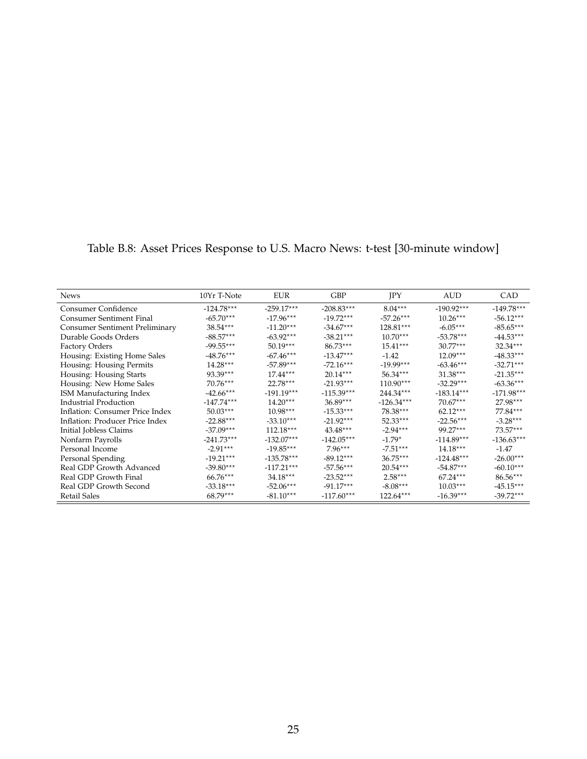| <b>News</b>                     | 10Yr T-Note  | <b>EUR</b>   | <b>GBP</b>   | <b>IPY</b>   | <b>AUD</b>   | CAD          |
|---------------------------------|--------------|--------------|--------------|--------------|--------------|--------------|
| Consumer Confidence             | $-124.78***$ | $-259.17***$ | $-208.83***$ | $8.04***$    | $-190.92***$ | $-149.78***$ |
| Consumer Sentiment Final        | $-65.70***$  | $-17.96***$  | $-19.72***$  | $-57.26***$  | $10.26***$   | $-56.12***$  |
| Consumer Sentiment Preliminary  | $38.54***$   | $-11.20***$  | $-34.67***$  | $128.81***$  | $-6.05***$   | $-85.65***$  |
| Durable Goods Orders            | $-88.57***$  | $-63.92***$  | $-38.21***$  | $10.70***$   | $-53.78***$  | $-44.53***$  |
| <b>Factory Orders</b>           | $-99.55***$  | $50.19***$   | $86.73***$   | $15.41***$   | $30.77***$   | $32.34***$   |
| Housing: Existing Home Sales    | $-48.76***$  | $-67.46***$  | $-13.47***$  | $-1.42$      | $12.09***$   | $-48.33***$  |
| Housing: Housing Permits        | $14.28***$   | $-57.89***$  | $-72.16***$  | $-19.99***$  | $-63.46***$  | $-32.71***$  |
| Housing: Housing Starts         | $93.39***$   | $17.44***$   | $20.14***$   | $56.34***$   | $31.38***$   | $-21.35***$  |
| Housing: New Home Sales         | $70.76***$   | $22.78***$   | $-21.93***$  | $110.90***$  | $-32.29***$  | $-63.36***$  |
| ISM Manufacturing Index         | $-42.66***$  | $-191.19***$ | $-115.39***$ | $244.34***$  | $-183.14***$ | $-171.98***$ |
| <b>Industrial Production</b>    | $-147.74***$ | $14.20***$   | $36.89***$   | $-126.34***$ | $70.67***$   | $27.98***$   |
| Inflation: Consumer Price Index | $50.03***$   | $10.98***$   | $-15.33***$  | $78.38***$   | $62.12***$   | $77.84***$   |
| Inflation: Producer Price Index | $-22.88***$  | $-33.10***$  | $-21.92***$  | $52.33***$   | $-22.56***$  | $-3.28***$   |
| Initial Jobless Claims          | $-37.09***$  | $112.18***$  | $43.48***$   | $-2.94***$   | $99.27***$   | $73.57***$   |
| Nonfarm Payrolls                | $-241.73***$ | $-132.07***$ | $-142.05***$ | $-1.79*$     | $-114.89***$ | $-136.63***$ |
| Personal Income                 | $-2.91***$   | $-19.85***$  | $7.96***$    | $-7.51***$   | $14.18***$   | $-1.47$      |
| Personal Spending               | $-19.21***$  | $-135.78***$ | $-89.12***$  | $36.75***$   | $-124.48***$ | $-26.00***$  |
| Real GDP Growth Advanced        | $-39.80***$  | $-117.21***$ | $-57.56***$  | $20.54***$   | $-54.87***$  | $-60.10***$  |
| Real GDP Growth Final           | $66.76***$   | $34.18***$   | $-23.52***$  | $2.58***$    | $67.24***$   | $86.56***$   |
| Real GDP Growth Second          | $-33.18***$  | $-52.06***$  | $-91.17***$  | $-8.08***$   | $10.03***$   | $-45.15***$  |
| Retail Sales                    | $68.79***$   | $-81.10***$  | $-117.60***$ | $122.64***$  | $-16.39***$  | $-39.72***$  |

<span id="page-24-0"></span>Table B.8: Asset Prices Response to U.S. Macro News: t-test [30-minute window]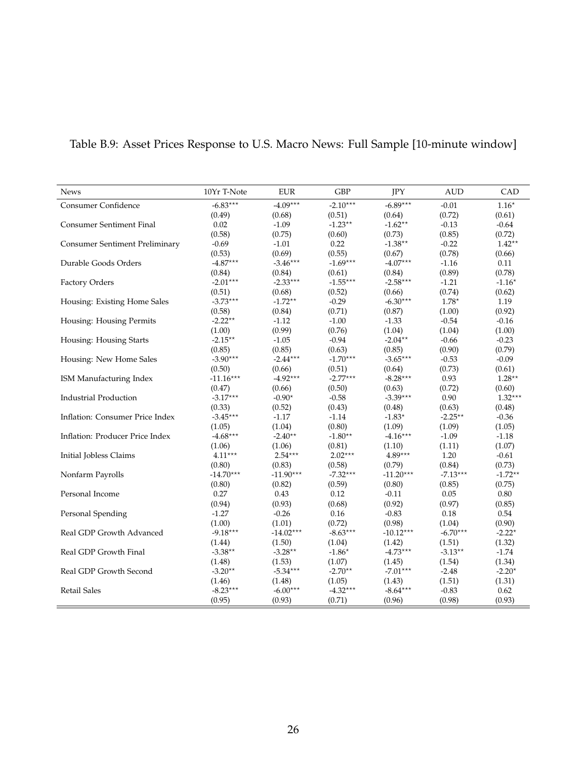| <b>News</b>                           | 10Yr T-Note | <b>EUR</b>      | <b>GBP</b> | JPY                      | <b>AUD</b> | CAD       |
|---------------------------------------|-------------|-----------------|------------|--------------------------|------------|-----------|
| Consumer Confidence                   | $-6.83***$  | $-4.09***$      | $-2.10***$ | $-6.89***$               | $-0.01$    | $1.16*$   |
|                                       | (0.49)      | (0.68)          | (0.51)     | (0.64)                   | (0.72)     | (0.61)    |
| <b>Consumer Sentiment Final</b>       | 0.02        | $-1.09$         | $-1.23**$  | $-1.62**$                | $-0.13$    | $-0.64$   |
|                                       | (0.58)      | (0.75)          | (0.60)     | (0.73)                   | (0.85)     | (0.72)    |
| <b>Consumer Sentiment Preliminary</b> | $-0.69$     | $-1.01$         | 0.22       | $-1.38**$                | $-0.22$    | $1.42**$  |
|                                       | (0.53)      | (0.69)          | (0.55)     | (0.67)                   | (0.78)     | (0.66)    |
| Durable Goods Orders                  | $-4.87***$  | $-3.46***$      | $-1.69***$ | $-4.07***$               | $-1.16$    | 0.11      |
|                                       | (0.84)      | (0.84)          | (0.61)     | (0.84)                   | (0.89)     | (0.78)    |
| Factory Orders                        | $-2.01***$  | $-2.33***$      | $-1.55***$ | $-2.58***$               | $-1.21$    | $-1.16*$  |
|                                       | (0.51)      | (0.68)          | (0.52)     | (0.66)                   | (0.74)     | (0.62)    |
| Housing: Existing Home Sales          | $-3.73***$  | $-1.72**$       | $-0.29$    | $-6.30***$               | $1.78*$    | 1.19      |
|                                       | (0.58)      | (0.84)          | (0.71)     | (0.87)                   | (1.00)     | (0.92)    |
| Housing: Housing Permits              | $-2.22**$   | $-1.12$         | $-1.00$    | $-1.33$                  | $-0.54$    | $-0.16$   |
|                                       | (1.00)      | (0.99)          | (0.76)     | (1.04)                   | (1.04)     | (1.00)    |
| Housing: Housing Starts               | $-2.15***$  | $-1.05$         | $-0.94$    | $-2.04**$                | $-0.66$    | $-0.23$   |
|                                       | (0.85)      | (0.85)          | (0.63)     | (0.85)                   | (0.90)     | (0.79)    |
| Housing: New Home Sales               | $-3.90***$  | $-2.44***$      | $-1.70***$ | $-3.65***$               | $-0.53$    | $-0.09$   |
|                                       | (0.50)      | (0.66)          | (0.51)     | (0.64)                   | (0.73)     | (0.61)    |
| ISM Manufacturing Index               | $-11.16***$ | $-4.92***$      | $-2.77***$ | $-8.28***$               | 0.93       | $1.28**$  |
|                                       | (0.47)      | (0.66)          | (0.50)     | (0.63)                   | (0.72)     | (0.60)    |
| <b>Industrial Production</b>          | $-3.17***$  | $-0.90^{\star}$ | $-0.58$    | $-3.39***$               | 0.90       | $1.32***$ |
|                                       | (0.33)      | (0.52)          | (0.43)     | (0.48)                   | (0.63)     | (0.48)    |
| Inflation: Consumer Price Index       | $-3.45***$  | $-1.17$         | $-1.14$    | -1.83 $^{\star}$         | $-2.25**$  | $-0.36$   |
|                                       | (1.05)      | (1.04)          | (0.80)     | (1.09)                   | (1.09)     | (1.05)    |
| Inflation: Producer Price Index       | $-4.68***$  | $-2.40**$       | $-1.80**$  | $-4.16***$               | $-1.09$    | $-1.18$   |
|                                       | (1.06)      | (1.06)          | (0.81)     | (1.10)                   | (1.11)     | (1.07)    |
| Initial Jobless Claims                | $4.11***$   | $2.54***$       | $2.02***$  | $4.89^{\star\star\star}$ | 1.20       | $-0.61$   |
|                                       | (0.80)      | (0.83)          | (0.58)     | (0.79)                   | (0.84)     | (0.73)    |
| Nonfarm Payrolls                      | $-14.70***$ | $-11.90***$     | $-7.32***$ | $-11.20***$              | $-7.13***$ | $-1.72**$ |
|                                       | (0.80)      | (0.82)          | (0.59)     | (0.80)                   | (0.85)     | (0.75)    |
| Personal Income                       | 0.27        | 0.43            | 0.12       | $-0.11$                  | 0.05       | 0.80      |
|                                       | (0.94)      | (0.93)          | (0.68)     | (0.92)                   | (0.97)     | (0.85)    |
| Personal Spending                     | $-1.27$     | $-0.26$         | 0.16       | $-0.83$                  | 0.18       | 0.54      |
|                                       | (1.00)      | (1.01)          | (0.72)     | (0.98)                   | (1.04)     | (0.90)    |
| Real GDP Growth Advanced              | $-9.18***$  | $-14.02***$     | $-8.63***$ | $-10.12***$              | $-6.70***$ | $-2.22*$  |
|                                       | (1.44)      | (1.50)          | (1.04)     | (1.42)                   | (1.51)     | (1.32)    |
| Real GDP Growth Final                 | $-3.38**$   | $-3.28**$       | $-1.86*$   | $-4.73***$               | $-3.13**$  | $-1.74$   |
|                                       | (1.48)      | (1.53)          | (1.07)     | (1.45)                   | (1.54)     | (1.34)    |
| Real GDP Growth Second                | $-3.20**$   | $-5.34***$      | $-2.70**$  | $-7.01***$               | $-2.48$    | $-2.20*$  |
|                                       | (1.46)      | (1.48)          | (1.05)     | (1.43)                   | (1.51)     | (1.31)    |
| Retail Sales                          | $-8.23***$  | $-6.00***$      | $-4.32***$ | $-8.64***$               | $-0.83$    | 0.62      |
|                                       | (0.95)      | (0.93)          | (0.71)     | (0.96)                   | (0.98)     | (0.93)    |

# <span id="page-25-0"></span>Table B.9: Asset Prices Response to U.S. Macro News: Full Sample [10-minute window]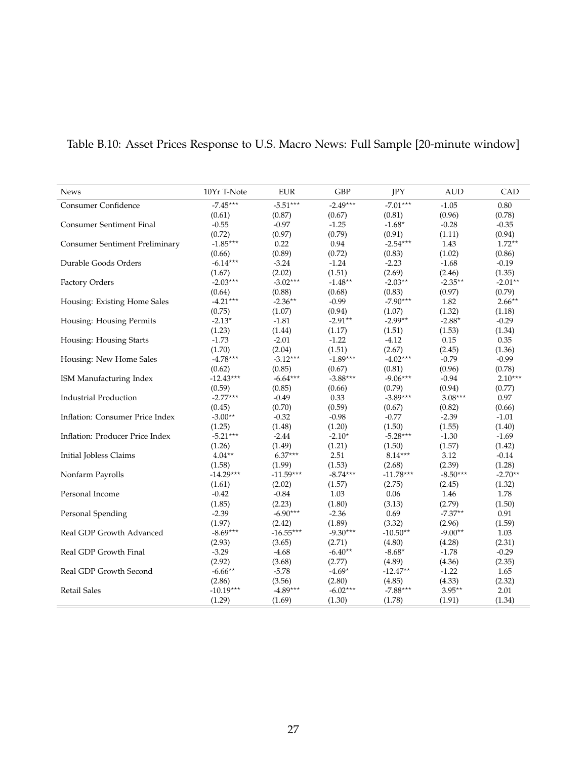| News                                  | 10Yr T-Note         | <b>EUR</b>  | <b>GBP</b> | JPY         | <b>AUD</b>       | CAD       |
|---------------------------------------|---------------------|-------------|------------|-------------|------------------|-----------|
| Consumer Confidence                   | $-7.45***$          | $-5.51***$  | $-2.49***$ | $-7.01***$  | $-1.05$          | 0.80      |
|                                       | (0.61)              | (0.87)      | (0.67)     | (0.81)      | (0.96)           | (0.78)    |
| <b>Consumer Sentiment Final</b>       | $-0.55$             | $-0.97$     | $-1.25$    | $-1.68*$    | $-0.28$          | $-0.35$   |
|                                       | (0.72)              | (0.97)      | (0.79)     | (0.91)      | (1.11)           | (0.94)    |
| <b>Consumer Sentiment Preliminary</b> | $-1.85***$          | 0.22        | 0.94       | $-2.54***$  | 1.43             | $1.72**$  |
|                                       | (0.66)              | (0.89)      | (0.72)     | (0.83)      | (1.02)           | (0.86)    |
| Durable Goods Orders                  | $-6.14***$          | $-3.24$     | $-1.24$    | $-2.23$     | $-1.68$          | $-0.19$   |
|                                       | (1.67)              | (2.02)      | (1.51)     | (2.69)      | (2.46)           | (1.35)    |
| Factory Orders                        | $-2.03***$          | $-3.02***$  | $-1.48**$  | $-2.03**$   | $-2.35***$       | $-2.01**$ |
|                                       | (0.64)              | (0.88)      | (0.68)     | (0.83)      | (0.97)           | (0.79)    |
| Housing: Existing Home Sales          | $-4.21***$          | $-2.36**$   | $-0.99$    | $-7.90***$  | 1.82             | $2.66**$  |
|                                       | (0.75)              | (1.07)      | (0.94)     | (1.07)      | (1.32)           | (1.18)    |
| Housing: Housing Permits              | $-2.13*$            | $-1.81$     | $-2.91**$  | $-2.99**$   | -2.88 $^{\star}$ | $-0.29$   |
|                                       | (1.23)              | (1.44)      | (1.17)     | (1.51)      | (1.53)           | (1.34)    |
| Housing: Housing Starts               | $-1.73$             | $-2.01$     | $-1.22$    | $-4.12$     | 0.15             | 0.35      |
|                                       | (1.70)              | (2.04)      | (1.51)     | (2.67)      | (2.45)           | (1.36)    |
| Housing: New Home Sales               | $-4.78***$          | $-3.12***$  | $-1.89***$ | $-4.02***$  | $-0.79$          | $-0.99$   |
|                                       | (0.62)              | (0.85)      | (0.67)     | (0.81)      | (0.96)           | (0.78)    |
| ISM Manufacturing Index               | $-12.43***$         | $-6.64***$  | $-3.88***$ | $-9.06***$  | $-0.94$          | $2.10***$ |
|                                       | (0.59)              | (0.85)      | (0.66)     | (0.79)      | (0.94)           | (0.77)    |
| <b>Industrial Production</b>          | $-2.77***$          | $-0.49$     | 0.33       | $-3.89***$  | $3.08***$        | 0.97      |
|                                       | (0.45)              | (0.70)      | (0.59)     | (0.67)      | (0.82)           | (0.66)    |
| Inflation: Consumer Price Index       | $-3.00**$           | $-0.32$     | $-0.98$    | $-0.77$     | $-2.39$          | $-1.01$   |
|                                       | (1.25)              | (1.48)      | (1.20)     | (1.50)      | (1.55)           | (1.40)    |
| Inflation: Producer Price Index       | $-5.21***$          | $-2.44$     | $-2.10*$   | $-5.28***$  | $-1.30$          | $-1.69$   |
|                                       | (1.26)              | (1.49)      | (1.21)     | (1.50)      | (1.57)           | (1.42)    |
| Initial Jobless Claims                | $4.04^{\star\star}$ | $6.37***$   | 2.51       | $8.14***$   | 3.12             | $-0.14$   |
|                                       | (1.58)              | (1.99)      | (1.53)     | (2.68)      | (2.39)           | (1.28)    |
| Nonfarm Payrolls                      | $-14.29***$         | $-11.59***$ | $-8.74***$ | $-11.78***$ | $-8.50***$       | $-2.70**$ |
|                                       | (1.61)              | (2.02)      | (1.57)     | (2.75)      | (2.45)           | (1.32)    |
| Personal Income                       | $-0.42$             | $-0.84$     | 1.03       | 0.06        | 1.46             | 1.78      |
|                                       | (1.85)              | (2.23)      | (1.80)     | (3.13)      | (2.79)           | (1.50)    |
| Personal Spending                     | $-2.39$             | $-6.90***$  | $-2.36$    | 0.69        | $-7.37**$        | 0.91      |
|                                       | (1.97)              | (2.42)      | (1.89)     | (3.32)      | (2.96)           | (1.59)    |
| Real GDP Growth Advanced              | $-8.69***$          | $-16.55***$ | $-9.30***$ | $-10.50**$  | $-9.00**$        | 1.03      |
|                                       | (2.93)              | (3.65)      | (2.71)     | (4.80)      | (4.28)           | (2.31)    |
| Real GDP Growth Final                 | $-3.29$             | $-4.68$     | $-6.40**$  | -8.68*      | $-1.78$          | $-0.29$   |
|                                       | (2.92)              | (3.68)      | (2.77)     | (4.89)      | (4.36)           | (2.35)    |
| Real GDP Growth Second                | $-6.66***$          | $-5.78$     | $-4.69*$   | $-12.47**$  | $-1.22$          | 1.65      |
|                                       | (2.86)              | (3.56)      | (2.80)     | (4.85)      | (4.33)           | (2.32)    |
| <b>Retail Sales</b>                   | $-10.19***$         | $-4.89***$  | $-6.02***$ | $-7.88***$  | $3.95***$        | 2.01      |
|                                       | (1.29)              | (1.69)      | (1.30)     | (1.78)      | (1.91)           | (1.34)    |

# <span id="page-26-0"></span>Table B.10: Asset Prices Response to U.S. Macro News: Full Sample [20-minute window]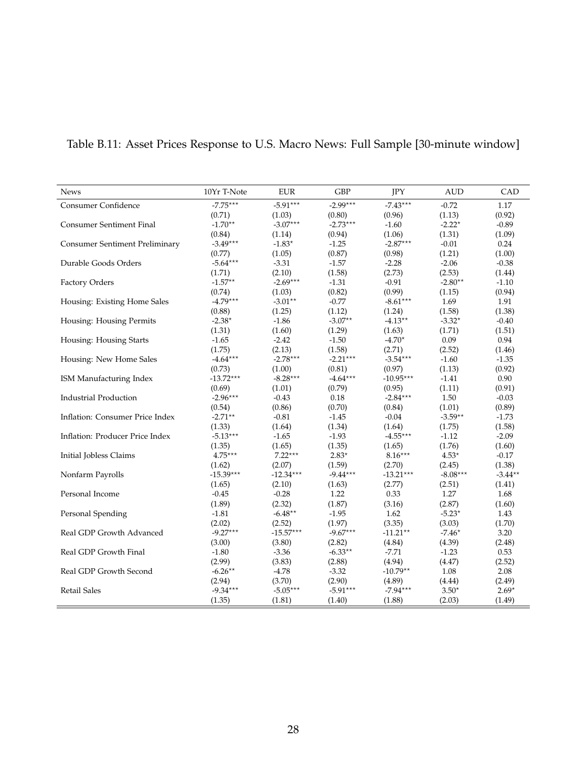| <b>News</b>                           | 10Yr T-Note | <b>EUR</b>  | <b>GBP</b> | JPY         | <b>AUD</b>     | CAD       |
|---------------------------------------|-------------|-------------|------------|-------------|----------------|-----------|
| <b>Consumer Confidence</b>            | $-7.75***$  | $-5.91***$  | $-2.99***$ | $-7.43***$  | $-0.72$        | 1.17      |
|                                       | (0.71)      | (1.03)      | (0.80)     | (0.96)      | (1.13)         | (0.92)    |
| Consumer Sentiment Final              | $-1.70**$   | $-3.07***$  | $-2.73***$ | $-1.60$     | $-2.22*$       | $-0.89$   |
|                                       | (0.84)      | (1.14)      | (0.94)     | (1.06)      | (1.31)         | (1.09)    |
| <b>Consumer Sentiment Preliminary</b> | $-3.49***$  | $-1.83*$    | $-1.25$    | $-2.87***$  | $-0.01$        | 0.24      |
|                                       | (0.77)      | (1.05)      | (0.87)     | (0.98)      | (1.21)         | (1.00)    |
| Durable Goods Orders                  | $-5.64***$  | $-3.31$     | $-1.57$    | $-2.28$     | $-2.06$        | $-0.38$   |
|                                       | (1.71)      | (2.10)      | (1.58)     | (2.73)      | (2.53)         | (1.44)    |
| <b>Factory Orders</b>                 | $-1.57**$   | $-2.69***$  | $-1.31$    | $-0.91$     | $-2.80**$      | $-1.10$   |
|                                       | (0.74)      | (1.03)      | (0.82)     | (0.99)      | (1.15)         | (0.94)    |
| Housing: Existing Home Sales          | $-4.79***$  | $-3.01**$   | $-0.77$    | $-8.61***$  | 1.69           | 1.91      |
|                                       | (0.88)      | (1.25)      | (1.12)     | (1.24)      | (1.58)         | (1.38)    |
| Housing: Housing Permits              | $-2.38*$    | $-1.86$     | $-3.07**$  | $-4.13**$   | $-3.32*$       | $-0.40$   |
|                                       | (1.31)      | (1.60)      | (1.29)     | (1.63)      | (1.71)         | (1.51)    |
| Housing: Housing Starts               | $-1.65$     | $-2.42$     | $-1.50$    | $-4.70*$    | 0.09           | 0.94      |
|                                       | (1.75)      | (2.13)      | (1.58)     | (2.71)      | (2.52)         | (1.46)    |
| Housing: New Home Sales               | $-4.64***$  | $-2.78***$  | $-2.21***$ | $-3.54***$  | $-1.60$        | $-1.35$   |
|                                       | (0.73)      | (1.00)      | (0.81)     | (0.97)      | (1.13)         | (0.92)    |
| ISM Manufacturing Index               | $-13.72***$ | $-8.28***$  | $-4.64***$ | $-10.95***$ | $-1.41$        | 0.90      |
|                                       | (0.69)      | (1.01)      | (0.79)     | (0.95)      | (1.11)         | (0.91)    |
| <b>Industrial Production</b>          | $-2.96***$  | $-0.43$     | 0.18       | $-2.84***$  | 1.50           | $-0.03$   |
|                                       | (0.54)      | (0.86)      | (0.70)     | (0.84)      | (1.01)         | (0.89)    |
| Inflation: Consumer Price Index       | $-2.71**$   | $-0.81$     | $-1.45$    | $-0.04$     | $-3.59**$      | $-1.73$   |
|                                       | (1.33)      | (1.64)      | (1.34)     | (1.64)      | (1.75)         | (1.58)    |
| Inflation: Producer Price Index       | $-5.13***$  | $-1.65$     | $-1.93$    | $-4.55***$  | $-1.12$        | $-2.09$   |
|                                       | (1.35)      | (1.65)      | (1.35)     | (1.65)      | (1.76)         | (1.60)    |
| Initial Jobless Claims                | $4.75***$   | $7.22***$   | $2.83*$    | $8.16***$   | $4.53^{\star}$ | $-0.17$   |
|                                       | (1.62)      | (2.07)      | (1.59)     | (2.70)      | (2.45)         | (1.38)    |
| Nonfarm Payrolls                      | $-15.39***$ | $-12.34***$ | $-9.44***$ | $-13.21***$ | $-8.08***$     | $-3.44**$ |
|                                       | (1.65)      | (2.10)      | (1.63)     | (2.77)      | (2.51)         | (1.41)    |
| Personal Income                       | $-0.45$     | $-0.28$     | 1.22       | 0.33        | 1.27           | 1.68      |
|                                       | (1.89)      | (2.32)      | (1.87)     | (3.16)      | (2.87)         | (1.60)    |
| Personal Spending                     | $-1.81$     | $-6.48**$   | $-1.95$    | 1.62        | $-5.23*$       | 1.43      |
|                                       | (2.02)      | (2.52)      | (1.97)     | (3.35)      | (3.03)         | (1.70)    |
| Real GDP Growth Advanced              | $-9.27***$  | $-15.57***$ | $-9.67***$ | $-11.21**$  | $-7.46*$       | 3.20      |
|                                       | (3.00)      | (3.80)      | (2.82)     | (4.84)      | (4.39)         | (2.48)    |
| Real GDP Growth Final                 | $-1.80$     | $-3.36$     | $-6.33**$  | $-7.71$     | $-1.23$        | 0.53      |
|                                       | (2.99)      | (3.83)      | (2.88)     | (4.94)      | (4.47)         | (2.52)    |
| Real GDP Growth Second                | $-6.26**$   | $-4.78$     | $-3.32$    | $-10.79**$  | 1.08           | 2.08      |
|                                       | (2.94)      | (3.70)      | (2.90)     | (4.89)      | (4.44)         | (2.49)    |
| Retail Sales                          | $-9.34***$  | $-5.05***$  | $-5.91***$ | $-7.94***$  | $3.50*$        | $2.69*$   |
|                                       | (1.35)      | (1.81)      | (1.40)     | (1.88)      | (2.03)         | (1.49)    |

# <span id="page-27-0"></span>Table B.11: Asset Prices Response to U.S. Macro News: Full Sample [30-minute window]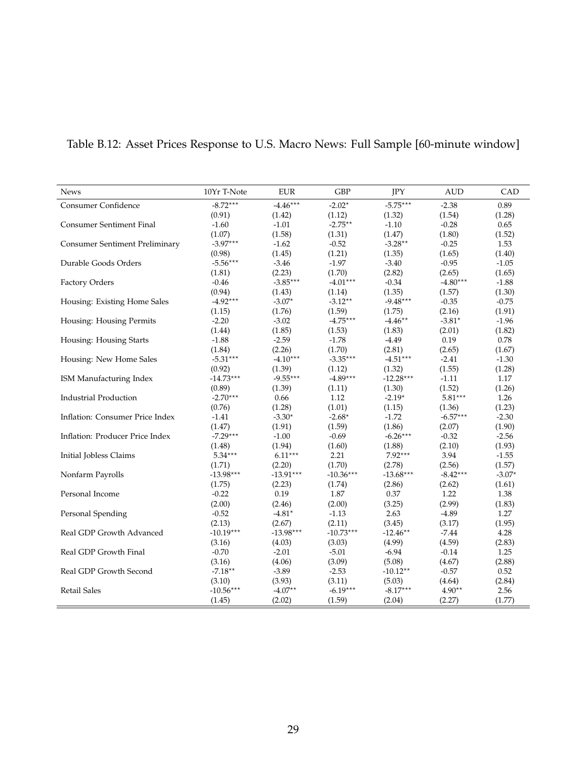| <b>News</b>                           | 10Yr T-Note | <b>EUR</b>  | <b>GBP</b>  | JPY         | <b>AUD</b> | CAD      |
|---------------------------------------|-------------|-------------|-------------|-------------|------------|----------|
| Consumer Confidence                   | $-8.72***$  | $-4.46***$  | $-2.02*$    | $-5.75***$  | $-2.38$    | 0.89     |
|                                       | (0.91)      | (1.42)      | (1.12)      | (1.32)      | (1.54)     | (1.28)   |
| <b>Consumer Sentiment Final</b>       | $-1.60$     | $-1.01$     | $-2.75***$  | $-1.10$     | $-0.28$    | 0.65     |
|                                       | (1.07)      | (1.58)      | (1.31)      | (1.47)      | (1.80)     | (1.52)   |
| <b>Consumer Sentiment Preliminary</b> | $-3.97***$  | $-1.62$     | $-0.52$     | -3.28**     | $-0.25$    | 1.53     |
|                                       | (0.98)      | (1.45)      | (1.21)      | (1.35)      | (1.65)     | (1.40)   |
| Durable Goods Orders                  | $-5.56***$  | $-3.46$     | $-1.97$     | $-3.40$     | $-0.95$    | $-1.05$  |
|                                       | (1.81)      | (2.23)      | (1.70)      | (2.82)      | (2.65)     | (1.65)   |
| Factory Orders                        | $-0.46$     | $-3.85***$  | $-4.01***$  | $-0.34$     | $-4.80***$ | $-1.88$  |
|                                       | (0.94)      | (1.43)      | (1.14)      | (1.35)      | (1.57)     | (1.30)   |
| Housing: Existing Home Sales          | $-4.92***$  | $-3.07*$    | $-3.12**$   | $-9.48***$  | $-0.35$    | $-0.75$  |
|                                       | (1.15)      | (1.76)      | (1.59)      | (1.75)      | (2.16)     | (1.91)   |
| Housing: Housing Permits              | $-2.20$     | $-3.02$     | $-4.75***$  | $-4.46**$   | $-3.81*$   | $-1.96$  |
|                                       | (1.44)      | (1.85)      | (1.53)      | (1.83)      | (2.01)     | (1.82)   |
| Housing: Housing Starts               | $-1.88$     | $-2.59$     | $-1.78$     | $-4.49$     | 0.19       | 0.78     |
|                                       | (1.84)      | (2.26)      | (1.70)      | (2.81)      | (2.65)     | (1.67)   |
| Housing: New Home Sales               | $-5.31***$  | $-4.10***$  | $-3.35***$  | $-4.51***$  | $-2.41$    | $-1.30$  |
|                                       | (0.92)      | (1.39)      | (1.12)      | (1.32)      | (1.55)     | (1.28)   |
| ISM Manufacturing Index               | $-14.73***$ | $-9.55***$  | $-4.89***$  | $-12.28***$ | $-1.11$    | 1.17     |
|                                       | (0.89)      | (1.39)      | (1.11)      | (1.30)      | (1.52)     | (1.26)   |
| <b>Industrial Production</b>          | $-2.70***$  | 0.66        | 1.12        | $-2.19*$    | $5.81***$  | 1.26     |
|                                       | (0.76)      | (1.28)      | (1.01)      | (1.15)      | (1.36)     | (1.23)   |
| Inflation: Consumer Price Index       | $-1.41$     | $-3.30*$    | $-2.68*$    | $-1.72$     | $-6.57***$ | $-2.30$  |
|                                       | (1.47)      | (1.91)      | (1.59)      | (1.86)      | (2.07)     | (1.90)   |
| Inflation: Producer Price Index       | $-7.29***$  | $-1.00$     | $-0.69$     | $-6.26***$  | $-0.32$    | $-2.56$  |
|                                       | (1.48)      | (1.94)      | (1.60)      | (1.88)      | (2.10)     | (1.93)   |
| Initial Jobless Claims                | $5.34***$   | $6.11***$   | 2.21        | $7.92***$   | 3.94       | $-1.55$  |
|                                       | (1.71)      | (2.20)      | (1.70)      | (2.78)      | (2.56)     | (1.57)   |
| Nonfarm Payrolls                      | $-13.98***$ | $-13.91***$ | $-10.36***$ | $-13.68***$ | $-8.42***$ | $-3.07*$ |
|                                       | (1.75)      | (2.23)      | (1.74)      | (2.86)      | (2.62)     | (1.61)   |
| Personal Income                       | $-0.22$     | 0.19        | $1.87\,$    | 0.37        | 1.22       | 1.38     |
|                                       | (2.00)      | (2.46)      | (2.00)      | (3.25)      | (2.99)     | (1.83)   |
| Personal Spending                     | $-0.52$     | -4.81*      | $-1.13$     | 2.63        | $-4.89$    | 1.27     |
|                                       | (2.13)      | (2.67)      | (2.11)      | (3.45)      | (3.17)     | (1.95)   |
| Real GDP Growth Advanced              | $-10.19***$ | $-13.98***$ | $-10.73***$ | $-12.46**$  | $-7.44$    | 4.28     |
|                                       | (3.16)      | (4.03)      | (3.03)      | (4.99)      | (4.59)     | (2.83)   |
| Real GDP Growth Final                 | $-0.70$     | $-2.01$     | $-5.01$     | $-6.94$     | $-0.14$    | 1.25     |
|                                       | (3.16)      | (4.06)      | (3.09)      | (5.08)      | (4.67)     | (2.88)   |
| Real GDP Growth Second                | $-7.18**$   | $-3.89$     | $-2.53$     | $-10.12**$  | $-0.57$    | 0.52     |
|                                       | (3.10)      | (3.93)      | (3.11)      | (5.03)      | (4.64)     | (2.84)   |
| Retail Sales                          | $-10.56***$ | $-4.07**$   | $-6.19***$  | $-8.17***$  | $4.90**$   | 2.56     |
|                                       | (1.45)      | (2.02)      | (1.59)      | (2.04)      | (2.27)     | (1.77)   |

# <span id="page-28-0"></span>Table B.12: Asset Prices Response to U.S. Macro News: Full Sample [60-minute window]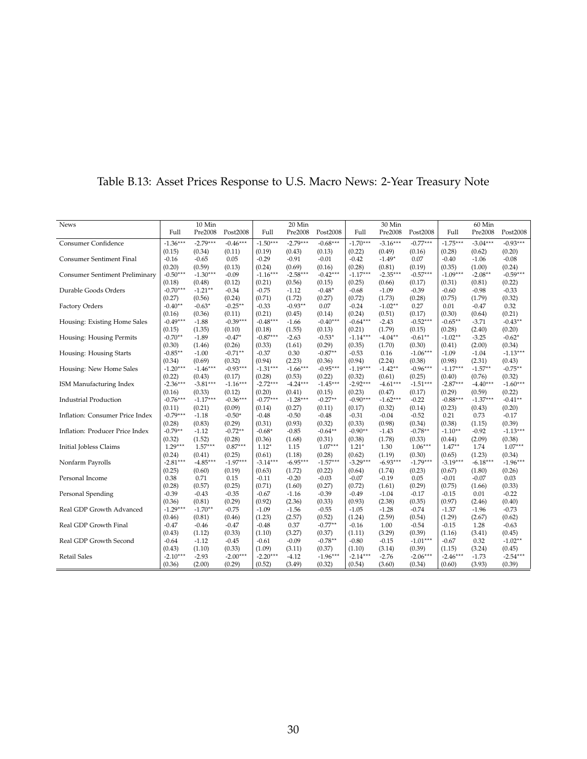| <b>News</b>                           |            | 10 Min     |            |            | 20 Min     |            |            | 30 Min     |            |            | 60 Min     |            |
|---------------------------------------|------------|------------|------------|------------|------------|------------|------------|------------|------------|------------|------------|------------|
|                                       | Full       | Pre2008    | Post2008   | Full       | Pre2008    | Post2008   | Full       | Pre2008    | Post2008   | Full       | Pre2008    | Post2008   |
| Consumer Confidence                   | $-1.36***$ | $-2.79***$ | $-0.46***$ | $-1.50***$ | $-2.79***$ | $-0.68***$ | $-1.70***$ | $-3.16***$ | $-0.77***$ | $-1.75***$ | $-3.04***$ | $-0.93***$ |
|                                       | (0.15)     | (0.34)     | (0.11)     | (0.19)     | (0.43)     | (0.13)     | (0.22)     | (0.49)     | (0.16)     | (0.28)     | (0.62)     | (0.20)     |
| <b>Consumer Sentiment Final</b>       | $-0.16$    | $-0.65$    | 0.05       | $-0.29$    | $-0.91$    | $-0.01$    | $-0.42$    | $-1.49*$   | 0.07       | $-0.40$    | $-1.06$    | $-0.08$    |
|                                       | (0.20)     | (0.59)     | (0.13)     | (0.24)     | (0.69)     | (0.16)     | (0.28)     | (0.81)     | (0.19)     | (0.35)     | (1.00)     | (0.24)     |
| <b>Consumer Sentiment Preliminary</b> | $-0.50***$ | $-1.30***$ | $-0.09$    | $-1.16***$ | $-2.58***$ | $-0.42***$ | $-1.17***$ | $-2.35***$ | $-0.57***$ | $-1.09***$ | $-2.08**$  | $-0.59***$ |
|                                       | (0.18)     | (0.48)     | (0.12)     | (0.21)     | (0.56)     | (0.15)     | (0.25)     | (0.66)     | (0.17)     | (0.31)     | (0.81)     | (0.22)     |
| Durable Goods Orders                  | $-0.70***$ | $-1.21**$  | $-0.34$    | $-0.75$    | $-1.12$    | $-0.48*$   | $-0.68$    | $-1.09$    | $-0.39$    | $-0.60$    | $-0.98$    | $-0.33$    |
|                                       | (0.27)     | (0.56)     | (0.24)     | (0.71)     | (1.72)     | (0.27)     | (0.72)     | (1.73)     | (0.28)     | (0.75)     | (1.79)     | (0.32)     |
| Factory Orders                        | $-0.40**$  | $-0.63*$   | $-0.25**$  | $-0.33$    | $-0.93**$  | 0.07       | $-0.24$    | $-1.02**$  | 0.27       | 0.01       | $-0.47$    | 0.32       |
|                                       | (0.16)     | (0.36)     | (0.11)     | (0.21)     | (0.45)     | (0.14)     | (0.24)     | (0.51)     | (0.17)     | (0.30)     | (0.64)     | (0.21)     |
| Housing: Existing Home Sales          | $-0.49***$ | $-1.88$    | $-0.39***$ | $-0.48***$ | $-1.66$    | $-0.40***$ | $-0.64***$ | $-2.43$    | $-0.52***$ | $-0.65***$ | $-3.71$    | $-0.43**$  |
|                                       | (0.15)     | (1.35)     | (0.10)     | (0.18)     | (1.55)     | (0.13)     | (0.21)     | (1.79)     | (0.15)     | (0.28)     | (2.40)     | (0.20)     |
| Housing: Housing Permits              | $-0.70**$  | $-1.89$    | $-0.47*$   | $-0.87***$ | $-2.63$    | $-0.53*$   | $-1.14***$ | $-4.04**$  | $-0.61**$  | $-1.02**$  | $-3.25$    | $-0.62*$   |
|                                       | (0.30)     | (1.46)     | (0.26)     | (0.33)     | (1.61)     | (0.29)     | (0.35)     | (1.70)     | (0.30)     | (0.41)     | (2.00)     | (0.34)     |
| Housing: Housing Starts               | $-0.85**$  | $-1.00$    | $-0.71**$  | $-0.37$    | 0.30       | $-0.87**$  | $-0.53$    | 0.16       | $-1.06***$ | $-1.09$    | $-1.04$    | $-1.13***$ |
|                                       | (0.34)     | (0.69)     | (0.32)     | (0.94)     | (2.23)     | (0.36)     | (0.94)     | (2.24)     | (0.38)     | (0.98)     | (2.31)     | (0.43)     |
| Housing: New Home Sales               | $-1.20***$ | $-1.46***$ | $-0.93***$ | $-1.31***$ | $-1.66***$ | $-0.95***$ | $-1.19***$ | $-1.42**$  | $-0.96***$ | $-1.17***$ | $-1.57**$  | $-0.75**$  |
|                                       | (0.22)     | (0.43)     | (0.17)     | (0.28)     | (0.53)     | (0.22)     | (0.32)     | (0.61)     | (0.25)     | (0.40)     | (0.76)     | (0.32)     |
| ISM Manufacturing Index               | $-2.36***$ | $-3.81***$ | $-1.16***$ | $-2.72***$ | $-4.24***$ | $-1.45***$ | $-2.92***$ | $-4.61***$ | $-1.51***$ | $-2.87***$ | $-4.40***$ | $-1.60***$ |
|                                       | (0.16)     | (0.33)     | (0.12)     | (0.20)     | (0.41)     | (0.15)     | (0.23)     | (0.47)     | (0.17)     | (0.29)     | (0.59)     | (0.22)     |
| <b>Industrial Production</b>          | $-0.76***$ | $-1.17***$ | $-0.36***$ | $-0.77***$ | $-1.28***$ | $-0.27**$  | $-0.90***$ | $-1.62***$ | $-0.22$    | $-0.88***$ | $-1.37***$ | $-0.41**$  |
|                                       | (0.11)     | (0.21)     | (0.09)     | (0.14)     | (0.27)     | (0.11)     | (0.17)     | (0.32)     | (0.14)     | (0.23)     | (0.43)     | (0.20)     |
| Inflation: Consumer Price Index       | $-0.79***$ | $-1.18$    | $-0.50*$   | $-0.48$    | $-0.50$    | $-0.48$    | $-0.31$    | $-0.04$    | $-0.52$    | 0.21       | 0.73       | $-0.17$    |
|                                       | (0.28)     | (0.83)     | (0.29)     | (0.31)     | (0.93)     | (0.32)     | (0.33)     | (0.98)     | (0.34)     | (0.38)     | (1.15)     | (0.39)     |
| Inflation: Producer Price Index       | $-0.79**$  | $-1.12$    | $-0.72**$  | $-0.68*$   | $-0.85$    | $-0.64***$ | $-0.90**$  | $-1.43$    | $-0.78**$  | $-1.10**$  | $-0.92$    | $-1.13***$ |
|                                       | (0.32)     | (1.52)     | (0.28)     | (0.36)     | (1.68)     | (0.31)     | (0.38)     | (1.78)     | (0.33)     | (0.44)     | (2.09)     | (0.38)     |
| <b>Initial Jobless Claims</b>         | $1.29***$  | $1.57***$  | $0.87***$  | $1.12*$    | 1.15       | $1.07***$  | $1.21*$    | 1.30       | $1.06***$  | $1.47**$   | 1.74       | $1.07***$  |
|                                       | (0.24)     | (0.41)     | (0.25)     | (0.61)     | (1.18)     | (0.28)     | (0.62)     | (1.19)     | (0.30)     | (0.65)     | (1.23)     | (0.34)     |
| Nonfarm Payrolls                      | $-2.81***$ | $-4.85***$ | $-1.97***$ | $-3.14***$ | $-6.95***$ | $-1.57***$ | $-3.29***$ | $-6.93***$ | $-1.79***$ | $-3.19***$ | $-6.18***$ | $-1.96***$ |
|                                       | (0.25)     | (0.60)     | (0.19)     | (0.63)     | (1.72)     | (0.22)     | (0.64)     | (1.74)     | (0.23)     | (0.67)     | (1.80)     | (0.26)     |
| Personal Income                       | 0.38       | 0.71       | 0.15       | $-0.11$    | $-0.20$    | $-0.03$    | $-0.07$    | $-0.19$    | 0.05       | $-0.01$    | $-0.07$    | 0.03       |
|                                       | (0.28)     | (0.57)     | (0.25)     | (0.71)     | (1.60)     | (0.27)     | (0.72)     | (1.61)     | (0.29)     | (0.75)     | (1.66)     | (0.33)     |
| Personal Spending                     | $-0.39$    | $-0.43$    | $-0.35$    | $-0.67$    | $-1.16$    | $-0.39$    | $-0.49$    | $-1.04$    | $-0.17$    | $-0.15$    | 0.01       | $-0.22$    |
|                                       | (0.36)     | (0.81)     | (0.29)     | (0.92)     | (2.36)     | (0.33)     | (0.93)     | (2.38)     | (0.35)     | (0.97)     | (2.46)     | (0.40)     |
| Real GDP Growth Advanced              | $-1.29***$ | $-1.70**$  | $-0.75$    | $-1.09$    | $-1.56$    | $-0.55$    | $-1.05$    | $-1.28$    | $-0.74$    | $-1.37$    | $-1.96$    | $-0.73$    |
|                                       | (0.46)     | (0.81)     | (0.46)     | (1.23)     | (2.57)     | (0.52)     | (1.24)     | (2.59)     | (0.54)     | (1.29)     | (2.67)     | (0.62)     |
| Real GDP Growth Final                 | $-0.47$    | $-0.46$    | $-0.47$    | $-0.48$    | 0.37       | $-0.77**$  | $-0.16$    | 1.00       | $-0.54$    | $-0.15$    | 1.28       | $-0.63$    |
|                                       | (0.43)     | (1.12)     | (0.33)     | (1.10)     | (3.27)     | (0.37)     | (1.11)     | (3.29)     | (0.39)     | (1.16)     | (3.41)     | (0.45)     |
| Real GDP Growth Second                | $-0.64$    | $-1.12$    | $-0.45$    | $-0.61$    | $-0.09$    | $-0.78**$  | $-0.80$    | $-0.15$    | $-1.01***$ | $-0.67$    | 0.32       | $-1.02**$  |
|                                       | (0.43)     | (1.10)     | (0.33)     | (1.09)     | (3.11)     | (0.37)     | (1.10)     | (3.14)     | (0.39)     | (1.15)     | (3.24)     | (0.45)     |
| <b>Retail Sales</b>                   | $-2.10***$ | $-2.93$    | $-2.00***$ | $-2.20***$ | $-4.12$    | $-1.96***$ | $-2.14***$ | $-2.76$    | $-2.06***$ | $-2.46***$ | $-1.73$    | $-2.54***$ |
|                                       | (0.36)     | (2.00)     | (0.29)     | (0.52)     | (3.49)     | (0.32)     | (0.54)     | (3.60)     | (0.34)     | (0.60)     | (3.93)     | (0.39)     |

# <span id="page-29-0"></span>Table B.13: Asset Prices Response to U.S. Macro News: 2-Year Treasury Note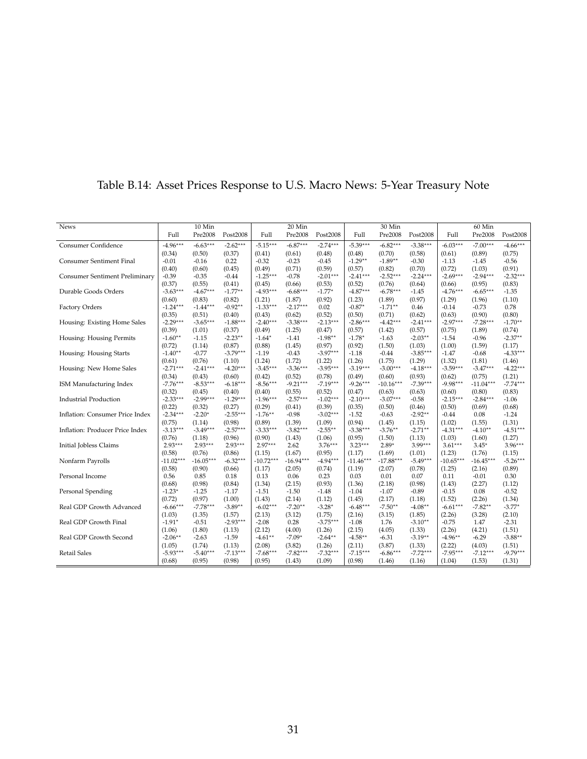| News                            |             | 10 Min      |            |             | 20 Min      |            |             | 30 Min      |            |             | 60 Min      |            |
|---------------------------------|-------------|-------------|------------|-------------|-------------|------------|-------------|-------------|------------|-------------|-------------|------------|
|                                 | Full        | Pre2008     | Post2008   | Full        | Pre2008     | Post2008   | Full        | Pre2008     | Post2008   | Full        | Pre2008     | Post2008   |
| Consumer Confidence             | $-4.96***$  | $-6.63***$  | $-2.62***$ | $-5.15***$  | $-6.87***$  | $-2.74***$ | $-5.39***$  | $-6.82***$  | $-3.38***$ | $-6.03***$  | $-7.00***$  | $-4.66***$ |
|                                 | (0.34)      | (0.50)      | (0.37)     | (0.41)      | (0.61)      | (0.48)     | (0.48)      | (0.70)      | (0.58)     | (0.61)      | (0.89)      | (0.75)     |
| <b>Consumer Sentiment Final</b> | $-0.01$     | $-0.16$     | 0.22       | $-0.32$     | $-0.23$     | $-0.45$    | $-1.29**$   | $-1.89**$   | $-0.30$    | $-1.13$     | $-1.45$     | $-0.56$    |
|                                 | (0.40)      | (0.60)      | (0.45)     | (0.49)      | (0.71)      | (0.59)     | (0.57)      | (0.82)      | (0.70)     | (0.72)      | (1.03)      | (0.91)     |
| Consumer Sentiment Preliminary  | $-0.39$     | $-0.35$     | $-0.44$    | $-1.25***$  | $-0.78$     | $-2.01***$ | $-2.41***$  | $-2.52***$  | $-2.24***$ | $-2.69***$  | $-2.94***$  | $-2.32***$ |
|                                 | (0.37)      | (0.55)      | (0.41)     | (0.45)      | (0.66)      | (0.53)     | (0.52)      | (0.76)      | (0.64)     | (0.66)      | (0.95)      | (0.83)     |
| Durable Goods Orders            | $-3.63***$  | $-4.67***$  | $-1.77**$  | $-4.93***$  | $-6.68***$  | $-1.77*$   | $-4.87***$  | $-6.78***$  | $-1.45$    | $-4.76***$  | $-6.65***$  | $-1.35$    |
|                                 | (0.60)      | (0.83)      | (0.82)     | (1.21)      | (1.87)      | (0.92)     | (1.23)      | (1.89)      | (0.97)     | (1.29)      | (1.96)      | (1.10)     |
| Factory Orders                  | $-1.24***$  | $-1.44***$  | $-0.92**$  | $-1.33***$  | $-2.17***$  | 0.02       | $-0.87*$    | $-1.71**$   | 0.46       | $-0.14$     | $-0.73$     | 0.78       |
|                                 | (0.35)      | (0.51)      | (0.40)     | (0.43)      | (0.62)      | (0.52)     | (0.50)      | (0.71)      | (0.62)     | (0.63)      | (0.90)      | (0.80)     |
| Housing: Existing Home Sales    | $-2.29***$  | $-3.65***$  | $-1.88***$ | $-2.40***$  | $-3.38***$  | $-2.13***$ | $-2.86***$  | $-4.42***$  | $-2.41***$ | $-2.97***$  | $-7.28***$  | $-1.70**$  |
|                                 | (0.39)      | (1.01)      | (0.37)     | (0.49)      | (1.25)      | (0.47)     | (0.57)      | (1.42)      | (0.57)     | (0.75)      | (1.89)      | (0.74)     |
| Housing: Housing Permits        | $-1.60**$   | $-1.15$     | $-2.23**$  | $-1.64*$    | $-1.41$     | $-1.98**$  | $-1.78*$    | $-1.63$     | $-2.03**$  | $-1.54$     | $-0.96$     | $-2.37**$  |
|                                 | (0.72)      | (1.14)      | (0.87)     | (0.88)      | (1.45)      | (0.97)     | (0.92)      | (1.50)      | (1.03)     | (1.00)      | (1.59)      | (1.17)     |
| Housing: Housing Starts         | $-1.40**$   | $-0.77$     | $-3.79***$ | $-1.19$     | $-0.43$     | $-3.97***$ | $-1.18$     | $-0.44$     | $-3.85***$ | $-1.47$     | $-0.68$     | $-4.33***$ |
|                                 | (0.61)      | (0.76)      | (1.10)     | (1.24)      | (1.72)      | (1.22)     | (1.26)      | (1.75)      | (1.29)     | (1.32)      | (1.81)      | (1.46)     |
| Housing: New Home Sales         | $-2.71***$  | $-2.41***$  | $-4.20***$ | $-3.45***$  | $-3.36***$  | $-3.95***$ | $-3.19***$  | $-3.00***$  | $-4.18***$ | $-3.59***$  | $-3.47***$  | $-4.22***$ |
|                                 | (0.34)      | (0.43)      | (0.60)     | (0.42)      | (0.52)      | (0.78)     | (0.49)      | (0.60)      | (0.93)     | (0.62)      | (0.75)      | (1.21)     |
| ISM Manufacturing Index         | $-7.76***$  | $-8.53***$  | $-6.18***$ | $-8.56***$  | $-9.21***$  | $-7.19***$ | $-9.26***$  | $-10.16***$ | $-7.39***$ | $-9.98***$  | $-11.04***$ | $-7.74***$ |
|                                 | (0.32)      | (0.45)      | (0.40)     | (0.40)      | (0.55)      | (0.52)     | (0.47)      | (0.63)      | (0.63)     | (0.60)      | (0.80)      | (0.83)     |
| <b>Industrial Production</b>    | $-2.33***$  | $-2.99***$  | $-1.29***$ | $-1.96***$  | $-2.57***$  | $-1.02***$ | $-2.10***$  | $-3.07***$  | $-0.58$    | $-2.15***$  | $-2.84***$  | $-1.06$    |
|                                 | (0.22)      | (0.32)      | (0.27)     | (0.29)      | (0.41)      | (0.39)     | (0.35)      | (0.50)      | (0.46)     | (0.50)      | (0.69)      | (0.68)     |
| Inflation: Consumer Price Index | $-2.34***$  | $-2.20*$    | $-2.55***$ | $-1.76***$  | $-0.98$     | $-3.02***$ | $-1.52$     | $-0.63$     | $-2.92**$  | $-0.44$     | 0.08        | $-1.24$    |
|                                 | (0.75)      | (1.14)      | (0.98)     | (0.89)      | (1.39)      | (1.09)     | (0.94)      | (1.45)      | (1.15)     | (1.02)      | (1.55)      | (1.31)     |
| Inflation: Producer Price Index | $-3.13***$  | $-3.49***$  | $-2.57***$ | $-3.33***$  | $-3.82***$  | $-2.55***$ | $-3.38***$  | $-3.76***$  | $-2.71**$  | $-4.31***$  | $-4.10**$   | $-4.51***$ |
|                                 | (0.76)      | (1.18)      | (0.96)     | (0.90)      | (1.43)      | (1.06)     | (0.95)      | (1.50)      | (1.13)     | (1.03)      | (1.60)      | (1.27)     |
| Initial Jobless Claims          | $2.93***$   | $2.93***$   | $2.93***$  | $2.97***$   | 2.62        | $3.76***$  | $3.23***$   | $2.89*$     | $3.99***$  | $3.61***$   | $3.45*$     | $3.96***$  |
|                                 | (0.58)      | (0.76)      | (0.86)     | (1.15)      | (1.67)      | (0.95)     | (1.17)      | (1.69)      | (1.01)     | (1.23)      | (1.76)      | (1.15)     |
| Nonfarm Payrolls                | $-11.02***$ | $-16.05***$ | $-6.32***$ | $-10.72***$ | $-16.94***$ | $-4.94***$ | $-11.46***$ | $-17.88***$ | $-5.49***$ | $-10.65***$ | $-16.45***$ | $-5.26***$ |
|                                 | (0.58)      | (0.90)      | (0.66)     | (1.17)      | (2.05)      | (0.74)     | (1.19)      | (2.07)      | (0.78)     | (1.25)      | (2.16)      | (0.89)     |
| Personal Income                 | 0.56        | 0.85        | 0.18       | 0.13        | 0.06        | 0.23       | 0.03        | 0.01        | 0.07       | 0.11        | $-0.01$     | 0.30       |
|                                 | (0.68)      | (0.98)      | (0.84)     | (1.34)      | (2.15)      | (0.93)     | (1.36)      | (2.18)      | (0.98)     | (1.43)      | (2.27)      | (1.12)     |
| Personal Spending               | $-1.23*$    | $-1.25$     | $-1.17$    | $-1.51$     | $-1.50$     | $-1.48$    | $-1.04$     | $-1.07$     | $-0.89$    | $-0.15$     | 0.08        | $-0.52$    |
|                                 | (0.72)      | (0.97)      | (1.00)     | (1.43)      | (2.14)      | (1.12)     | (1.45)      | (2.17)      | (1.18)     | (1.52)      | (2.26)      | (1.34)     |
| Real GDP Growth Advanced        | $-6.66***$  | $-7.78***$  | $-3.89**$  | $-6.02***$  | $-7.20**$   | $-3.28*$   | $-6.48***$  | $-7.50**$   | $-4.08***$ | $-6.61***$  | $-7.82**$   | $-3.77*$   |
|                                 | (1.03)      | (1.35)      | (1.57)     | (2.13)      | (3.12)      | (1.75)     | (2.16)      | (3.15)      | (1.85)     | (2.26)      | (3.28)      | (2.10)     |
| Real GDP Growth Final           | $-1.91*$    | $-0.51$     | $-2.93***$ | $-2.08$     | 0.28        | $-3.75***$ | $-1.08$     | 1.76        | $-3.10**$  | $-0.75$     | 1.47        | $-2.31$    |
|                                 | (1.06)      | (1.80)      | (1.13)     | (2.12)      | (4.00)      | (1.26)     | (2.15)      | (4.05)      | (1.33)     | (2.26)      | (4.21)      | (1.51)     |
| Real GDP Growth Second          | $-2.06***$  | $-2.63$     | $-1.59$    | $-4.61***$  | $-7.09*$    | $-2.64***$ | $-4.58***$  | $-6.31$     | $-3.19**$  | $-4.96***$  | $-6.29$     | $-3.88**$  |
|                                 | (1.05)      | (1.74)      | (1.13)     | (2.08)      | (3.82)      | (1.26)     | (2.11)      | (3.87)      | (1.33)     | (2.22)      | (4.03)      | (1.51)     |
| <b>Retail Sales</b>             | $-5.93***$  | $-5.40***$  | $-7.13***$ | $-7.68***$  | $-7.82***$  | $-7.32***$ | $-7.15***$  | $-6.86***$  | $-7.72***$ | $-7.95***$  | $-7.12***$  | $-9.79***$ |
|                                 | (0.68)      | (0.95)      | (0.98)     | (0.95)      | (1.43)      | (1.09)     | (0.98)      | (1.46)      | (1.16)     | (1.04)      | (1.53)      | (1.31)     |

## <span id="page-30-0"></span>Table B.14: Asset Prices Response to U.S. Macro News: 5-Year Treasury Note